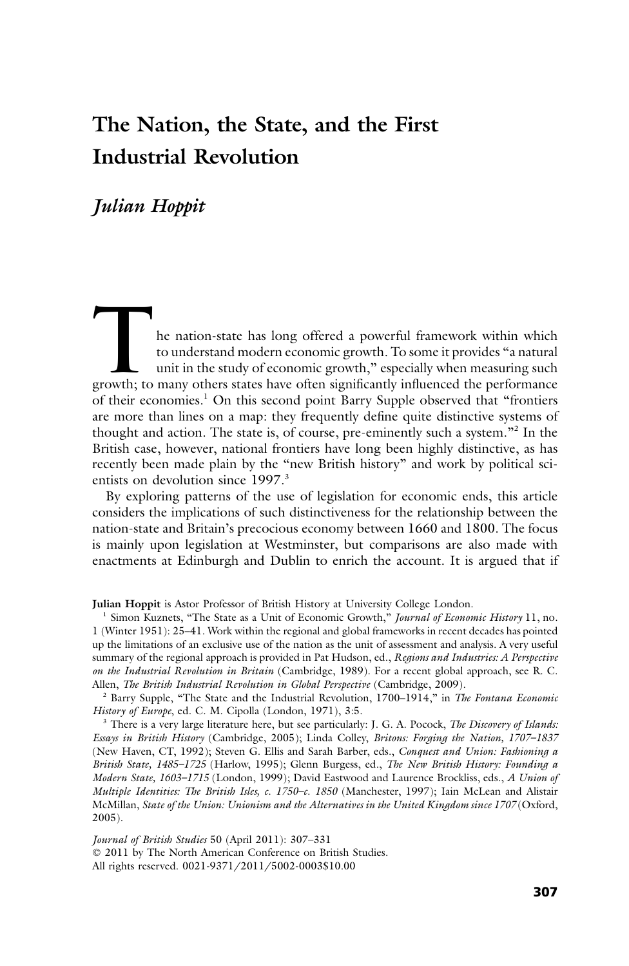# **The Nation, the State, and the First Industrial Revolution**

# *Julian Hoppit*

he nation-state has long offered a powerful framework within which to understand modern economic growth. To some it provides "a natural unit in the study of economic growth," especially when measuring such growth; to many others states have often significantly influenced the performance of their economies.<sup>1</sup> On this second point Barry Supple observed that "frontiers are more than lines on a map: they frequently define quite distinctive systems of thought and action. The state is, of course, pre-eminently such a system."<sup>2</sup> In the British case, however, national frontiers have long been highly distinctive, as has recently been made plain by the "new British history" and work by political scientists on devolution since 1997.<sup>3</sup>

By exploring patterns of the use of legislation for economic ends, this article considers the implications of such distinctiveness for the relationship between the nation-state and Britain's precocious economy between 1660 and 1800. The focus is mainly upon legislation at Westminster, but comparisons are also made with enactments at Edinburgh and Dublin to enrich the account. It is argued that if

**Julian Hoppit** is Astor Professor of British History at University College London.

<sup>1</sup> Simon Kuznets, "The State as a Unit of Economic Growth," *Journal of Economic History* 11, no. 1 (Winter 1951): 25–41. Work within the regional and global frameworks in recent decades has pointed up the limitations of an exclusive use of the nation as the unit of assessment and analysis. A very useful summary of the regional approach is provided in Pat Hudson, ed., *Regions and Industries: A Perspective on the Industrial Revolution in Britain* (Cambridge, 1989). For a recent global approach, see R. C. Allen, *The British Industrial Revolution in Global Perspective* (Cambridge, 2009).

<sup>2</sup> Barry Supple, "The State and the Industrial Revolution, 1700–1914," in *The Fontana Economic History of Europe*, ed. C. M. Cipolla (London, 1971), 3:5.

<sup>3</sup> There is a very large literature here, but see particularly: J. G. A. Pocock, *The Discovery of Islands: Essays in British History* (Cambridge, 2005); Linda Colley, *Britons: Forging the Nation, 1707–1837* (New Haven, CT, 1992); Steven G. Ellis and Sarah Barber, eds., *Conquest and Union: Fashioning a British State, 1485–1725* (Harlow, 1995); Glenn Burgess, ed., *The New British History: Founding a Modern State, 1603–1715* (London, 1999); David Eastwood and Laurence Brockliss, eds., *A Union of Multiple Identities: The British Isles, c. 1750–c. 1850* (Manchester, 1997); Iain McLean and Alistair McMillan, *State of the Union: Unionism and the Alternatives in the United Kingdom since 1707* (Oxford, 2005).

*Journal of British Studies* 50 (April 2011): 307–331 2011 by The North American Conference on British Studies. All rights reserved. 0021-9371/2011/5002-0003\$10.00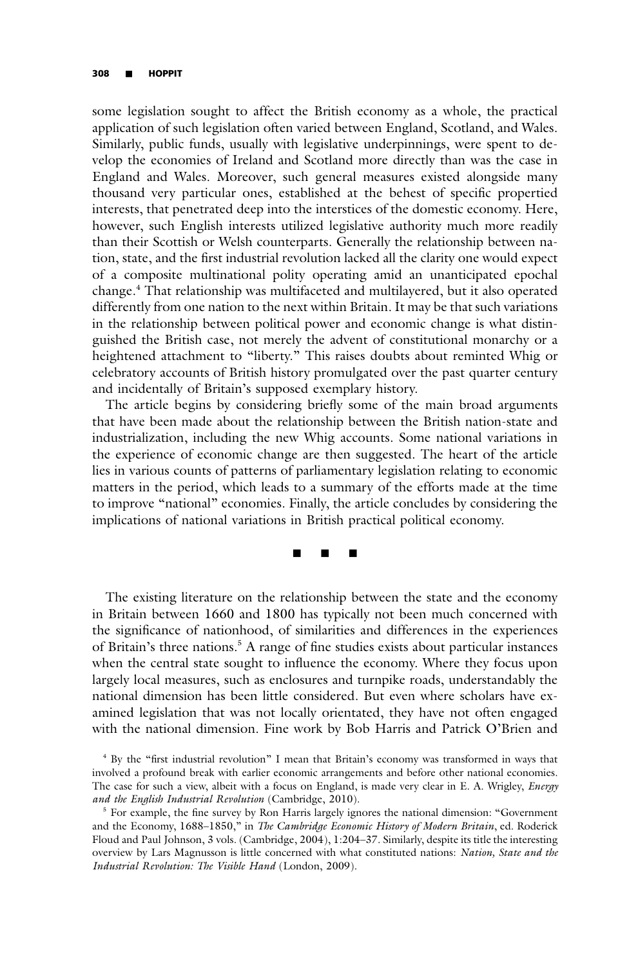some legislation sought to affect the British economy as a whole, the practical application of such legislation often varied between England, Scotland, and Wales. Similarly, public funds, usually with legislative underpinnings, were spent to develop the economies of Ireland and Scotland more directly than was the case in England and Wales. Moreover, such general measures existed alongside many thousand very particular ones, established at the behest of specific propertied interests, that penetrated deep into the interstices of the domestic economy. Here, however, such English interests utilized legislative authority much more readily than their Scottish or Welsh counterparts. Generally the relationship between nation, state, and the first industrial revolution lacked all the clarity one would expect of a composite multinational polity operating amid an unanticipated epochal change.4 That relationship was multifaceted and multilayered, but it also operated differently from one nation to the next within Britain. It may be that such variations in the relationship between political power and economic change is what distinguished the British case, not merely the advent of constitutional monarchy or a heightened attachment to "liberty." This raises doubts about reminted Whig or celebratory accounts of British history promulgated over the past quarter century and incidentally of Britain's supposed exemplary history.

The article begins by considering briefly some of the main broad arguments that have been made about the relationship between the British nation-state and industrialization, including the new Whig accounts. Some national variations in the experience of economic change are then suggested. The heart of the article lies in various counts of patterns of parliamentary legislation relating to economic matters in the period, which leads to a summary of the efforts made at the time to improve "national" economies. Finally, the article concludes by considering the implications of national variations in British practical political economy.

> ---

The existing literature on the relationship between the state and the economy in Britain between 1660 and 1800 has typically not been much concerned with the significance of nationhood, of similarities and differences in the experiences of Britain's three nations.<sup>5</sup> A range of fine studies exists about particular instances when the central state sought to influence the economy. Where they focus upon largely local measures, such as enclosures and turnpike roads, understandably the national dimension has been little considered. But even where scholars have examined legislation that was not locally orientated, they have not often engaged with the national dimension. Fine work by Bob Harris and Patrick O'Brien and

<sup>4</sup> By the "first industrial revolution" I mean that Britain's economy was transformed in ways that involved a profound break with earlier economic arrangements and before other national economies. The case for such a view, albeit with a focus on England, is made very clear in E. A. Wrigley, *Energy and the English Industrial Revolution* (Cambridge, 2010).

<sup>5</sup> For example, the fine survey by Ron Harris largely ignores the national dimension: "Government and the Economy, 1688–1850," in *The Cambridge Economic History of Modern Britain*, ed. Roderick Floud and Paul Johnson, 3 vols. (Cambridge, 2004), 1:204–37. Similarly, despite its title the interesting overview by Lars Magnusson is little concerned with what constituted nations: *Nation, State and the Industrial Revolution: The Visible Hand* (London, 2009).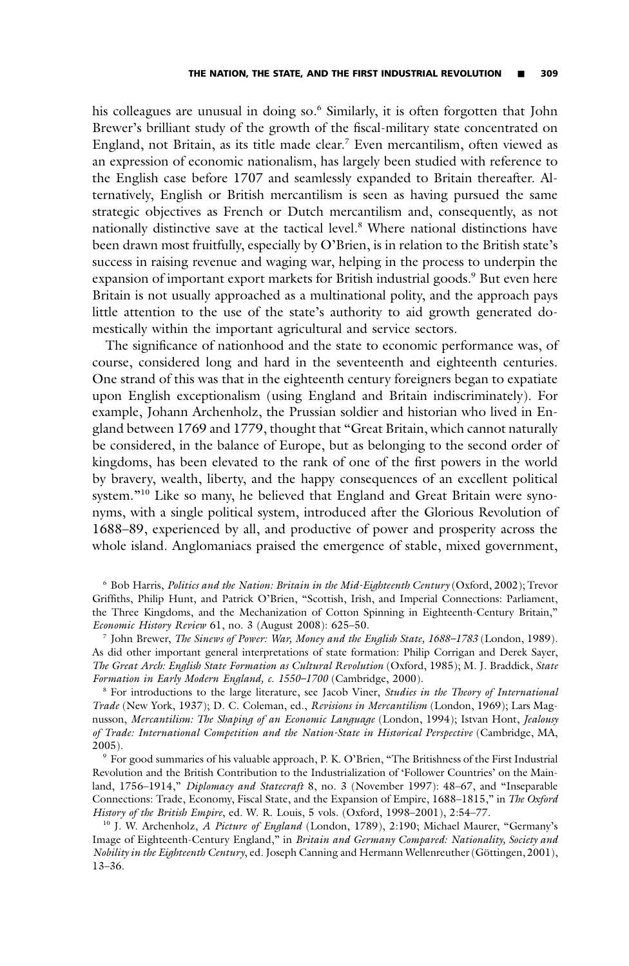his colleagues are unusual in doing so.<sup>6</sup> Similarly, it is often forgotten that John Brewer's brilliant study of the growth of the fiscal-military state concentrated on England, not Britain, as its title made clear.<sup>7</sup> Even mercantilism, often viewed as an expression of economic nationalism, has largely been studied with reference to the English case before 1707 and seamlessly expanded to Britain thereafter. Alternatively, English or British mercantilism is seen as having pursued the same strategic objectives as French or Dutch mercantilism and, consequently, as not nationally distinctive save at the tactical level. $8$  Where national distinctions have been drawn most fruitfully, especially by O'Brien, is in relation to the British state's success in raising revenue and waging war, helping in the process to underpin the expansion of important export markets for British industrial goods.<sup>9</sup> But even here Britain is not usually approached as a multinational polity, and the approach pays little attention to the use of the state's authority to aid growth generated domestically within the important agricultural and service sectors.

The significance of nationhood and the state to economic performance was, of course, considered long and hard in the seventeenth and eighteenth centuries. One strand of this was that in the eighteenth century foreigners began to expatiate upon English exceptionalism (using England and Britain indiscriminately). For example, Johann Archenholz, the Prussian soldier and historian who lived in England between 1769 and 1779, thought that "Great Britain, which cannot naturally be considered, in the balance of Europe, but as belonging to the second order of kingdoms, has been elevated to the rank of one of the first powers in the world by bravery, wealth, liberty, and the happy consequences of an excellent political system."<sup>10</sup> Like so many, he believed that England and Great Britain were synonyms, with a single political system, introduced after the Glorious Revolution of 1688–89, experienced by all, and productive of power and prosperity across the whole island. Anglomaniacs praised the emergence of stable, mixed government,

<sup>6</sup> Bob Harris, *Politics and the Nation: Britain in the Mid-Eighteenth Century* (Oxford, 2002); Trevor Griffiths, Philip Hunt, and Patrick O'Brien, "Scottish, Irish, and Imperial Connections: Parliament, the Three Kingdoms, and the Mechanization of Cotton Spinning in Eighteenth-Century Britain," *Economic History Review* 61, no. 3 (August 2008): 625–50.

<sup>7</sup> John Brewer, *The Sinews of Power: War, Money and the English State, 1688–1783* (London, 1989). As did other important general interpretations of state formation: Philip Corrigan and Derek Sayer, *The Great Arch: English State Formation as Cultural Revolution* (Oxford, 1985); M. J. Braddick, *State Formation in Early Modern England, c. 1550–1700* (Cambridge, 2000).

<sup>8</sup> For introductions to the large literature, see Jacob Viner, *Studies in the Theory of International Trade* (New York, 1937); D. C. Coleman, ed., *Revisions in Mercantilism* (London, 1969); Lars Magnusson, *Mercantilism: The Shaping of an Economic Language* (London, 1994); Istvan Hont, *Jealousy of Trade: International Competition and the Nation-State in Historical Perspective* (Cambridge, MA, 2005).

<sup>9</sup> For good summaries of his valuable approach, P. K. O'Brien, "The Britishness of the First Industrial Revolution and the British Contribution to the Industrialization of 'Follower Countries' on the Mainland, 1756–1914," *Diplomacy and Statecraft* 8, no. 3 (November 1997): 48–67, and "Inseparable Connections: Trade, Economy, Fiscal State, and the Expansion of Empire, 1688–1815," in *The Oxford History of the British Empire*, ed. W. R. Louis, 5 vols. (Oxford, 1998–2001), 2:54–77.

<sup>10</sup> J. W. Archenholz, *A Picture of England* (London, 1789), 2:190; Michael Maurer, "Germany's Image of Eighteenth-Century England," in *Britain and Germany Compared: Nationality, Society and Nobility in the Eighteenth Century*, ed. Joseph Canning and Hermann Wellenreuther (Göttingen, 2001), 13–36.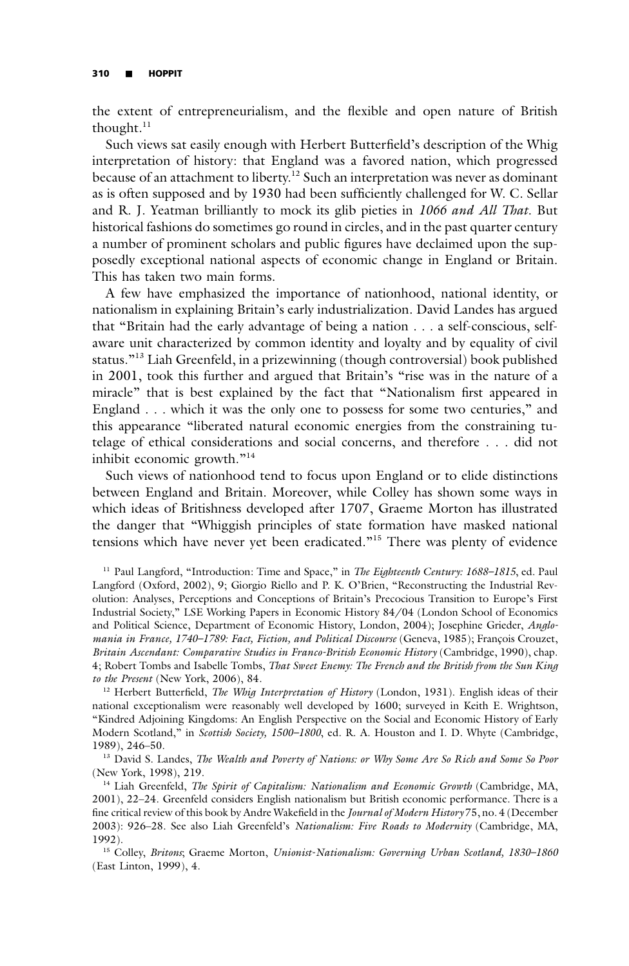the extent of entrepreneurialism, and the flexible and open nature of British thought.<sup>11</sup>

Such views sat easily enough with Herbert Butterfield's description of the Whig interpretation of history: that England was a favored nation, which progressed because of an attachment to liberty.<sup>12</sup> Such an interpretation was never as dominant as is often supposed and by 1930 had been sufficiently challenged for W. C. Sellar and R. J. Yeatman brilliantly to mock its glib pieties in *1066 and All That*. But historical fashions do sometimes go round in circles, and in the past quarter century a number of prominent scholars and public figures have declaimed upon the supposedly exceptional national aspects of economic change in England or Britain. This has taken two main forms.

A few have emphasized the importance of nationhood, national identity, or nationalism in explaining Britain's early industrialization. David Landes has argued that "Britain had the early advantage of being a nation . . . a self-conscious, selfaware unit characterized by common identity and loyalty and by equality of civil status."13 Liah Greenfeld, in a prizewinning (though controversial) book published in 2001, took this further and argued that Britain's "rise was in the nature of a miracle" that is best explained by the fact that "Nationalism first appeared in England... which it was the only one to possess for some two centuries," and this appearance "liberated natural economic energies from the constraining tutelage of ethical considerations and social concerns, and therefore . . . did not inhibit economic growth."<sup>14</sup>

Such views of nationhood tend to focus upon England or to elide distinctions between England and Britain. Moreover, while Colley has shown some ways in which ideas of Britishness developed after 1707, Graeme Morton has illustrated the danger that "Whiggish principles of state formation have masked national tensions which have never yet been eradicated."<sup>15</sup> There was plenty of evidence

<sup>11</sup> Paul Langford, "Introduction: Time and Space," in *The Eighteenth Century: 1688–1815*, ed. Paul Langford (Oxford, 2002), 9; Giorgio Riello and P. K. O'Brien, "Reconstructing the Industrial Revolution: Analyses, Perceptions and Conceptions of Britain's Precocious Transition to Europe's First Industrial Society," LSE Working Papers in Economic History 84/04 (London School of Economics and Political Science, Department of Economic History, London, 2004); Josephine Grieder, *Anglomania in France, 1740–1789: Fact, Fiction, and Political Discourse* (Geneva, 1985); François Crouzet, *Britain Ascendant: Comparative Studies in Franco-British Economic History* (Cambridge, 1990), chap. 4; Robert Tombs and Isabelle Tombs, *That Sweet Enemy: The French and the British from the Sun King to the Present* (New York, 2006), 84.

<sup>12</sup> Herbert Butterfield, *The Whig Interpretation of History* (London, 1931). English ideas of their national exceptionalism were reasonably well developed by 1600; surveyed in Keith E. Wrightson, "Kindred Adjoining Kingdoms: An English Perspective on the Social and Economic History of Early Modern Scotland," in *Scottish Society, 1500–1800*, ed. R. A. Houston and I. D. Whyte (Cambridge, 1989), 246–50.

<sup>13</sup> David S. Landes, *The Wealth and Poverty of Nations: or Why Some Are So Rich and Some So Poor* (New York, 1998), 219.

<sup>14</sup> Liah Greenfeld, *The Spirit of Capitalism: Nationalism and Economic Growth* (Cambridge, MA, 2001), 22–24. Greenfeld considers English nationalism but British economic performance. There is a fine critical review of this book by Andre Wakefield in the *Journal of Modern History* 75, no. 4 (December 2003): 926–28. See also Liah Greenfeld's *Nationalism: Five Roads to Modernity* (Cambridge, MA, 1992).

<sup>15</sup> Colley, *Britons*; Graeme Morton, *Unionist-Nationalism: Governing Urban Scotland, 1830–1860* (East Linton, 1999), 4.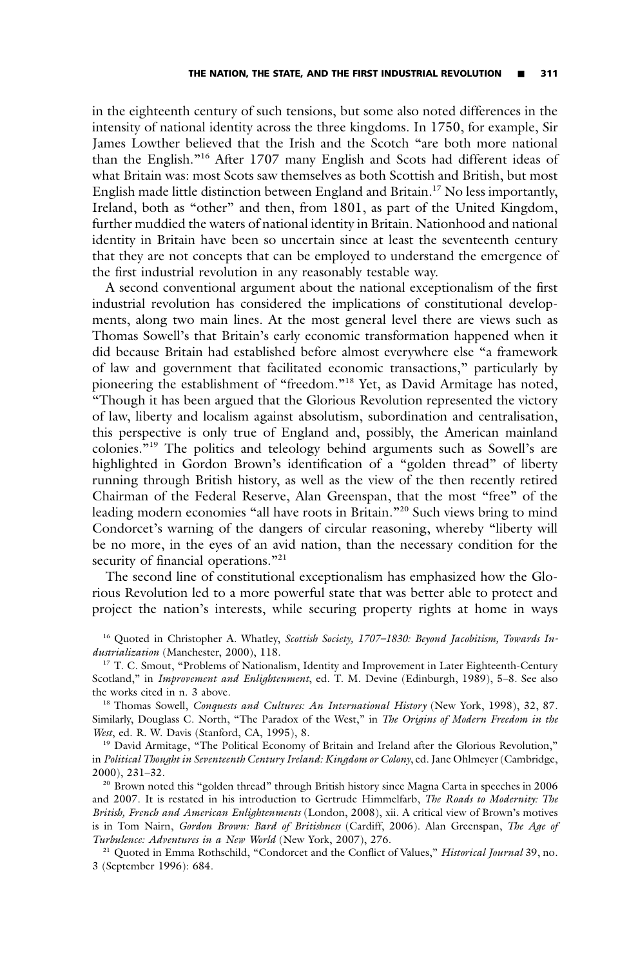in the eighteenth century of such tensions, but some also noted differences in the intensity of national identity across the three kingdoms. In 1750, for example, Sir James Lowther believed that the Irish and the Scotch "are both more national than the English."16 After 1707 many English and Scots had different ideas of what Britain was: most Scots saw themselves as both Scottish and British, but most English made little distinction between England and Britain.<sup>17</sup> No less importantly, Ireland, both as "other" and then, from 1801, as part of the United Kingdom, further muddied the waters of national identity in Britain. Nationhood and national identity in Britain have been so uncertain since at least the seventeenth century that they are not concepts that can be employed to understand the emergence of the first industrial revolution in any reasonably testable way.

A second conventional argument about the national exceptionalism of the first industrial revolution has considered the implications of constitutional developments, along two main lines. At the most general level there are views such as Thomas Sowell's that Britain's early economic transformation happened when it did because Britain had established before almost everywhere else "a framework of law and government that facilitated economic transactions," particularly by pioneering the establishment of "freedom."18 Yet, as David Armitage has noted, "Though it has been argued that the Glorious Revolution represented the victory of law, liberty and localism against absolutism, subordination and centralisation, this perspective is only true of England and, possibly, the American mainland colonies."19 The politics and teleology behind arguments such as Sowell's are highlighted in Gordon Brown's identification of a "golden thread" of liberty running through British history, as well as the view of the then recently retired Chairman of the Federal Reserve, Alan Greenspan, that the most "free" of the leading modern economies "all have roots in Britain."<sup>20</sup> Such views bring to mind Condorcet's warning of the dangers of circular reasoning, whereby "liberty will be no more, in the eyes of an avid nation, than the necessary condition for the security of financial operations."<sup>21</sup>

The second line of constitutional exceptionalism has emphasized how the Glorious Revolution led to a more powerful state that was better able to protect and project the nation's interests, while securing property rights at home in ways

<sup>&</sup>lt;sup>16</sup> Quoted in Christopher A. Whatley, *Scottish Society, 1707-1830: Beyond Jacobitism, Towards Industrialization* (Manchester, 2000), 118.

<sup>&</sup>lt;sup>17</sup> T. C. Smout, "Problems of Nationalism, Identity and Improvement in Later Eighteenth-Century Scotland," in *Improvement and Enlightenment*, ed. T. M. Devine (Edinburgh, 1989), 5–8. See also the works cited in n. 3 above.

<sup>18</sup> Thomas Sowell, *Conquests and Cultures: An International History* (New York, 1998), 32, 87. Similarly, Douglass C. North, "The Paradox of the West," in *The Origins of Modern Freedom in the West*, ed. R. W. Davis (Stanford, CA, 1995), 8.

<sup>&</sup>lt;sup>19</sup> David Armitage, "The Political Economy of Britain and Ireland after the Glorious Revolution," in *Political Thought in Seventeenth Century Ireland: Kingdom or Colony*, ed. Jane Ohlmeyer (Cambridge, 2000), 231–32.

<sup>&</sup>lt;sup>20</sup> Brown noted this "golden thread" through British history since Magna Carta in speeches in 2006 and 2007. It is restated in his introduction to Gertrude Himmelfarb, *The Roads to Modernity: The British, French and American Enlightenments* (London, 2008), xii. A critical view of Brown's motives is in Tom Nairn, *Gordon Brown: Bard of Britishness* (Cardiff, 2006). Alan Greenspan, *The Age of Turbulence: Adventures in a New World* (New York, 2007), 276.

<sup>21</sup> Quoted in Emma Rothschild, "Condorcet and the Conflict of Values," *Historical Journal* 39, no. 3 (September 1996): 684.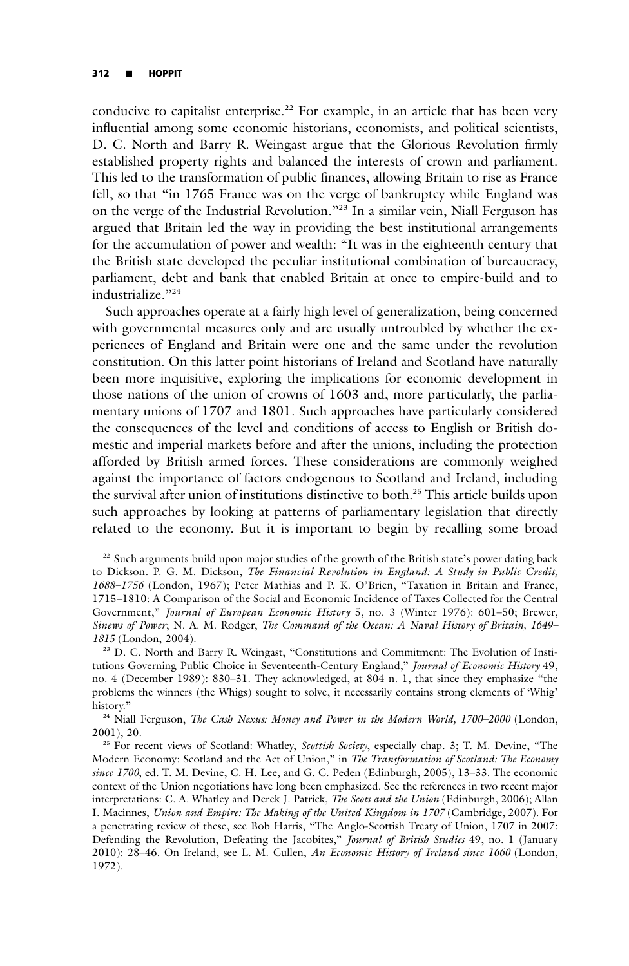conducive to capitalist enterprise.<sup>22</sup> For example, in an article that has been very influential among some economic historians, economists, and political scientists, D. C. North and Barry R. Weingast argue that the Glorious Revolution firmly established property rights and balanced the interests of crown and parliament. This led to the transformation of public finances, allowing Britain to rise as France fell, so that "in 1765 France was on the verge of bankruptcy while England was on the verge of the Industrial Revolution."<sup>23</sup> In a similar vein, Niall Ferguson has argued that Britain led the way in providing the best institutional arrangements for the accumulation of power and wealth: "It was in the eighteenth century that the British state developed the peculiar institutional combination of bureaucracy, parliament, debt and bank that enabled Britain at once to empire-build and to industrialize."<sup>24</sup>

Such approaches operate at a fairly high level of generalization, being concerned with governmental measures only and are usually untroubled by whether the experiences of England and Britain were one and the same under the revolution constitution. On this latter point historians of Ireland and Scotland have naturally been more inquisitive, exploring the implications for economic development in those nations of the union of crowns of 1603 and, more particularly, the parliamentary unions of 1707 and 1801. Such approaches have particularly considered the consequences of the level and conditions of access to English or British domestic and imperial markets before and after the unions, including the protection afforded by British armed forces. These considerations are commonly weighed against the importance of factors endogenous to Scotland and Ireland, including the survival after union of institutions distinctive to both.<sup>25</sup> This article builds upon such approaches by looking at patterns of parliamentary legislation that directly related to the economy. But it is important to begin by recalling some broad

<sup>22</sup> Such arguments build upon major studies of the growth of the British state's power dating back to Dickson. P. G. M. Dickson, *The Financial Revolution in England: A Study in Public Credit, 1688–1756* (London, 1967); Peter Mathias and P. K. O'Brien, "Taxation in Britain and France, 1715–1810: A Comparison of the Social and Economic Incidence of Taxes Collected for the Central Government," *Journal of European Economic History* 5, no. 3 (Winter 1976): 601–50; Brewer, *Sinews of Power*; N. A. M. Rodger, *The Command of the Ocean: A Naval History of Britain, 1649– 1815* (London, 2004).

<sup>23</sup> D. C. North and Barry R. Weingast, "Constitutions and Commitment: The Evolution of Institutions Governing Public Choice in Seventeenth-Century England," *Journal of Economic History* 49, no. 4 (December 1989): 830–31. They acknowledged, at 804 n. 1, that since they emphasize "the problems the winners (the Whigs) sought to solve, it necessarily contains strong elements of 'Whig' history."

<sup>24</sup> Niall Ferguson, *The Cash Nexus: Money and Power in the Modern World, 1700–2000* (London, 2001), 20.

<sup>25</sup> For recent views of Scotland: Whatley, *Scottish Society*, especially chap. 3; T. M. Devine, "The Modern Economy: Scotland and the Act of Union," in *The Transformation of Scotland: The Economy since 1700*, ed. T. M. Devine, C. H. Lee, and G. C. Peden (Edinburgh, 2005), 13–33. The economic context of the Union negotiations have long been emphasized. See the references in two recent major interpretations: C. A. Whatley and Derek J. Patrick, *The Scots and the Union* (Edinburgh, 2006); Allan I. Macinnes, *Union and Empire: The Making of the United Kingdom in 1707* (Cambridge, 2007). For a penetrating review of these, see Bob Harris, "The Anglo-Scottish Treaty of Union, 1707 in 2007: Defending the Revolution, Defeating the Jacobites," *Journal of British Studies* 49, no. 1 (January 2010): 28–46. On Ireland, see L. M. Cullen, *An Economic History of Ireland since 1660* (London, 1972).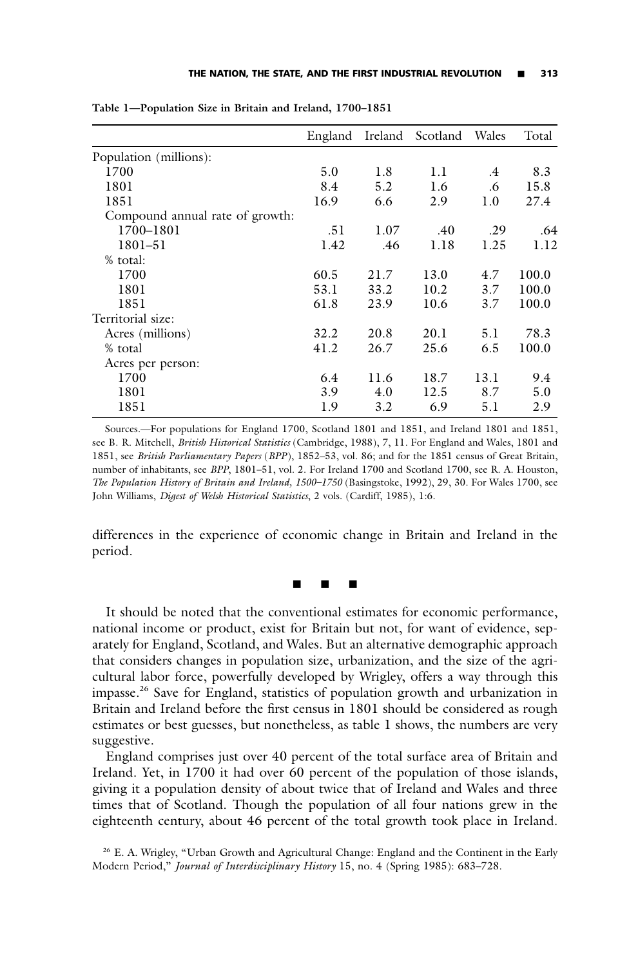|                                 | England |      | Ireland Scotland | Wales | Total |
|---------------------------------|---------|------|------------------|-------|-------|
| Population (millions):          |         |      |                  |       |       |
| 1700                            | 5.0     | 1.8  | 1.1              | .4    | 8.3   |
| 1801                            | 8.4     | 5.2  | 1.6              | .6    | 15.8  |
| 1851                            | 16.9    | 6.6  | 2.9              | 1.0   | 27.4  |
| Compound annual rate of growth: |         |      |                  |       |       |
| 1700-1801                       | .51     | 1.07 | .40              | .29   | .64   |
| 1801-51                         | 1.42    | .46  | 1.18             | 1.25  | 1.12  |
| % total:                        |         |      |                  |       |       |
| 1700                            | 60.5    | 21.7 | 13.0             | 4.7   | 100.0 |
| 1801                            | 53.1    | 33.2 | 10.2             | 3.7   | 100.0 |
| 1851                            | 61.8    | 23.9 | 10.6             | 3.7   | 100.0 |
| Territorial size:               |         |      |                  |       |       |
| Acres (millions)                | 32.2    | 20.8 | 20.1             | 5.1   | 78.3  |
| % total                         | 41.2    | 26.7 | 25.6             | 6.5   | 100.0 |
| Acres per person:               |         |      |                  |       |       |
| 1700                            | 6.4     | 11.6 | 18.7             | 13.1  | 9.4   |
| 1801                            | 3.9     | 4.0  | 12.5             | 8.7   | 5.0   |
| 1851                            | 1.9     | 3.2  | 6.9              | 5.1   | 2.9   |

**Table 1—Population Size in Britain and Ireland, 1700–1851**

Sources.—For populations for England 1700, Scotland 1801 and 1851, and Ireland 1801 and 1851, see B. R. Mitchell, *British Historical Statistics* (Cambridge, 1988), 7, 11. For England and Wales, 1801 and 1851, see *British Parliamentary Papers* (*BPP*), 1852–53, vol. 86; and for the 1851 census of Great Britain, number of inhabitants, see *BPP*, 1801–51, vol. 2. For Ireland 1700 and Scotland 1700, see R. A. Houston, *The Population History of Britain and Ireland, 1500–1750* (Basingstoke, 1992), 29, 30. For Wales 1700, see John Williams, *Digest of Welsh Historical Statistics*, 2 vols. (Cardiff, 1985), 1:6.

differences in the experience of economic change in Britain and Ireland in the period.

#### ---

It should be noted that the conventional estimates for economic performance, national income or product, exist for Britain but not, for want of evidence, separately for England, Scotland, and Wales. But an alternative demographic approach that considers changes in population size, urbanization, and the size of the agricultural labor force, powerfully developed by Wrigley, offers a way through this impasse.<sup>26</sup> Save for England, statistics of population growth and urbanization in Britain and Ireland before the first census in 1801 should be considered as rough estimates or best guesses, but nonetheless, as table 1 shows, the numbers are very suggestive.

England comprises just over 40 percent of the total surface area of Britain and Ireland. Yet, in 1700 it had over 60 percent of the population of those islands, giving it a population density of about twice that of Ireland and Wales and three times that of Scotland. Though the population of all four nations grew in the eighteenth century, about 46 percent of the total growth took place in Ireland.

<sup>26</sup> E. A. Wrigley, "Urban Growth and Agricultural Change: England and the Continent in the Early Modern Period," *Journal of Interdisciplinary History* 15, no. 4 (Spring 1985): 683–728.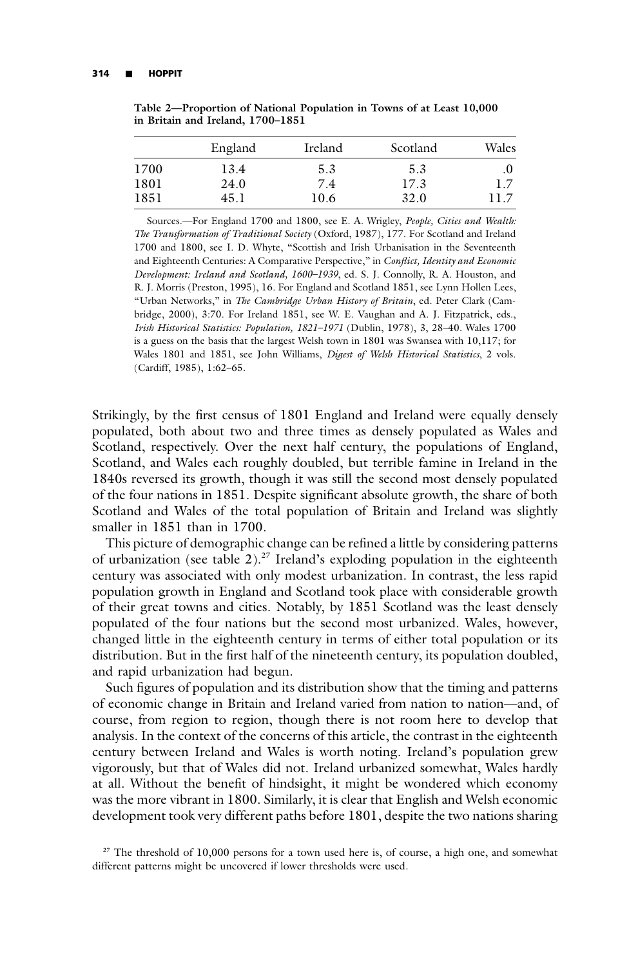|      | England | Ireland | Scotland | Wales |
|------|---------|---------|----------|-------|
| 1700 | 13.4    | 5.3     | 5.3      | .0    |
| 1801 | 24.0    | 7.4     | 17.3     |       |
| 1851 | 45.1    | 10.6    | 32.0     | 11.7  |

**Table 2—Proportion of National Population in Towns of at Least 10,000 in Britain and Ireland, 1700–1851**

Sources.—For England 1700 and 1800, see E. A. Wrigley, *People, Cities and Wealth: The Transformation of Traditional Society* (Oxford, 1987), 177. For Scotland and Ireland 1700 and 1800, see I. D. Whyte, "Scottish and Irish Urbanisation in the Seventeenth and Eighteenth Centuries: A Comparative Perspective," in *Conflict, Identity and Economic Development: Ireland and Scotland, 1600–1939*, ed. S. J. Connolly, R. A. Houston, and R. J. Morris (Preston, 1995), 16. For England and Scotland 1851, see Lynn Hollen Lees, "Urban Networks," in *The Cambridge Urban History of Britain*, ed. Peter Clark (Cambridge, 2000), 3:70. For Ireland 1851, see W. E. Vaughan and A. J. Fitzpatrick, eds., *Irish Historical Statistics: Population, 1821–1971* (Dublin, 1978), 3, 28–40. Wales 1700 is a guess on the basis that the largest Welsh town in 1801 was Swansea with 10,117; for Wales 1801 and 1851, see John Williams, *Digest of Welsh Historical Statistics*, 2 vols. (Cardiff, 1985), 1:62–65.

Strikingly, by the first census of 1801 England and Ireland were equally densely populated, both about two and three times as densely populated as Wales and Scotland, respectively. Over the next half century, the populations of England, Scotland, and Wales each roughly doubled, but terrible famine in Ireland in the 1840s reversed its growth, though it was still the second most densely populated of the four nations in 1851. Despite significant absolute growth, the share of both Scotland and Wales of the total population of Britain and Ireland was slightly smaller in 1851 than in 1700.

This picture of demographic change can be refined a little by considering patterns of urbanization (see table 2).<sup>27</sup> Ireland's exploding population in the eighteenth century was associated with only modest urbanization. In contrast, the less rapid population growth in England and Scotland took place with considerable growth of their great towns and cities. Notably, by 1851 Scotland was the least densely populated of the four nations but the second most urbanized. Wales, however, changed little in the eighteenth century in terms of either total population or its distribution. But in the first half of the nineteenth century, its population doubled, and rapid urbanization had begun.

Such figures of population and its distribution show that the timing and patterns of economic change in Britain and Ireland varied from nation to nation—and, of course, from region to region, though there is not room here to develop that analysis. In the context of the concerns of this article, the contrast in the eighteenth century between Ireland and Wales is worth noting. Ireland's population grew vigorously, but that of Wales did not. Ireland urbanized somewhat, Wales hardly at all. Without the benefit of hindsight, it might be wondered which economy was the more vibrant in 1800. Similarly, it is clear that English and Welsh economic development took very different paths before 1801, despite the two nations sharing

 $27$  The threshold of 10,000 persons for a town used here is, of course, a high one, and somewhat different patterns might be uncovered if lower thresholds were used.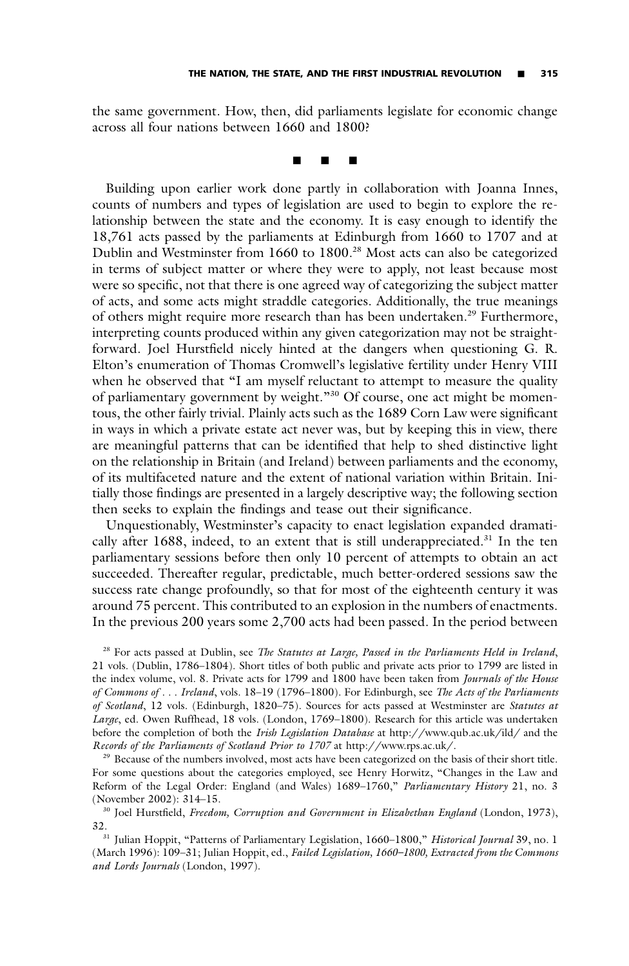the same government. How, then, did parliaments legislate for economic change across all four nations between 1660 and 1800?

#### ---

Building upon earlier work done partly in collaboration with Joanna Innes, counts of numbers and types of legislation are used to begin to explore the relationship between the state and the economy. It is easy enough to identify the 18,761 acts passed by the parliaments at Edinburgh from 1660 to 1707 and at Dublin and Westminster from 1660 to 1800.<sup>28</sup> Most acts can also be categorized in terms of subject matter or where they were to apply, not least because most were so specific, not that there is one agreed way of categorizing the subject matter of acts, and some acts might straddle categories. Additionally, the true meanings of others might require more research than has been undertaken.<sup>29</sup> Furthermore, interpreting counts produced within any given categorization may not be straightforward. Joel Hurstfield nicely hinted at the dangers when questioning G. R. Elton's enumeration of Thomas Cromwell's legislative fertility under Henry VIII when he observed that "I am myself reluctant to attempt to measure the quality of parliamentary government by weight."<sup>30</sup> Of course, one act might be momentous, the other fairly trivial. Plainly acts such as the 1689 Corn Law were significant in ways in which a private estate act never was, but by keeping this in view, there are meaningful patterns that can be identified that help to shed distinctive light on the relationship in Britain (and Ireland) between parliaments and the economy, of its multifaceted nature and the extent of national variation within Britain. Initially those findings are presented in a largely descriptive way; the following section then seeks to explain the findings and tease out their significance.

Unquestionably, Westminster's capacity to enact legislation expanded dramatically after  $1688$ , indeed, to an extent that is still underappreciated.<sup>31</sup> In the ten parliamentary sessions before then only 10 percent of attempts to obtain an act succeeded. Thereafter regular, predictable, much better-ordered sessions saw the success rate change profoundly, so that for most of the eighteenth century it was around 75 percent. This contributed to an explosion in the numbers of enactments. In the previous 200 years some 2,700 acts had been passed. In the period between

<sup>28</sup> For acts passed at Dublin, see *The Statutes at Large, Passed in the Parliaments Held in Ireland*, 21 vols. (Dublin, 1786–1804). Short titles of both public and private acts prior to 1799 are listed in the index volume, vol. 8. Private acts for 1799 and 1800 have been taken from *Journals of the House of Commons of . . . Ireland*, vols. 18–19 (1796–1800). For Edinburgh, see *The Acts of the Parliaments of Scotland*, 12 vols. (Edinburgh, 1820–75). Sources for acts passed at Westminster are *Statutes at Large*, ed. Owen Ruffhead, 18 vols. (London, 1769–1800). Research for this article was undertaken before the completion of both the *Irish Legislation Database* at http://www.qub.ac.uk/ild/ and the *Records of the Parliaments of Scotland Prior to 1707* at http://www.rps.ac.uk/.

<sup>29</sup> Because of the numbers involved, most acts have been categorized on the basis of their short title. For some questions about the categories employed, see Henry Horwitz, "Changes in the Law and Reform of the Legal Order: England (and Wales) 1689–1760," *Parliamentary History* 21, no. 3 (November 2002): 314–15.

<sup>30</sup> Joel Hurstfield, *Freedom, Corruption and Government in Elizabethan England* (London, 1973), 32.31 Julian Hoppit, "Patterns of Parliamentary Legislation, 1660–1800," *Historical Journal* 39, no. 1

(March 1996): 109–31; Julian Hoppit, ed., *Failed Legislation, 1660–1800, Extracted from the Commons and Lords Journals* (London, 1997).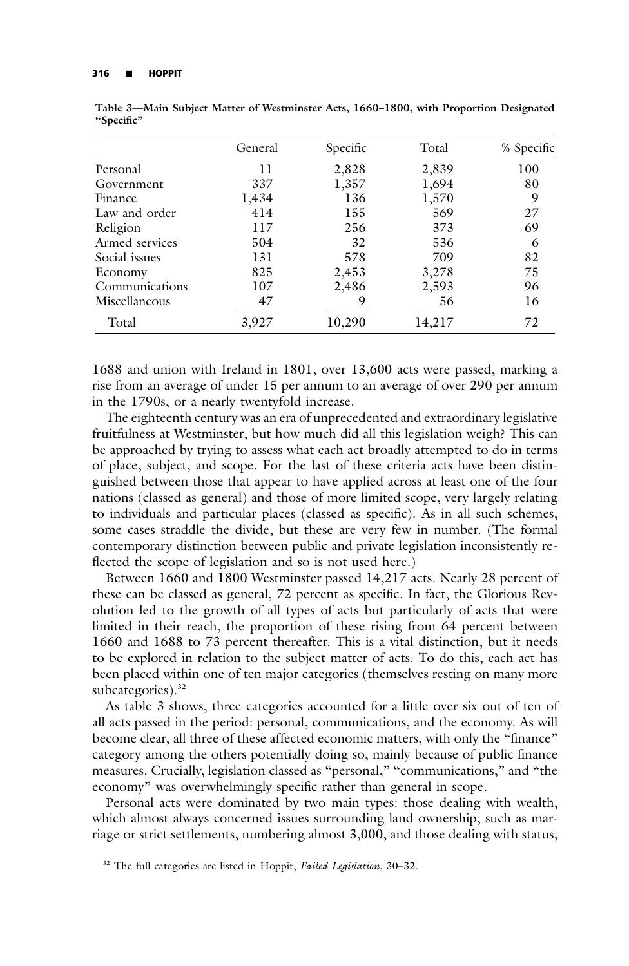#### **316**  $\blacksquare$ **HOPPIT**

|                | General | Specific | Total  | % Specific |
|----------------|---------|----------|--------|------------|
| Personal       | 11      | 2,828    | 2,839  | 100        |
| Government     | 337     | 1,357    | 1,694  | 80         |
| Finance        | 1,434   | 136      | 1,570  |            |
| Law and order  | 414     | 155      | 569    | 27         |
| Religion       | 117     | 256      | 373    | 69         |
| Armed services | 504     | 32       | 536    | 6          |
| Social issues  | 131     | 578      | 709    | 82         |
| Economy        | 825     | 2,453    | 3,278  | 75         |
| Communications | 107     | 2,486    | 2,593  | 96         |
| Miscellaneous  | 47      | 9        | 56     | 16         |
| Total          | 3,927   | 10,290   | 14,217 | 72         |

**Table 3—Main Subject Matter of Westminster Acts, 1660–1800, with Proportion Designated "Specific"**

1688 and union with Ireland in 1801, over 13,600 acts were passed, marking a rise from an average of under 15 per annum to an average of over 290 per annum in the 1790s, or a nearly twentyfold increase.

The eighteenth century was an era of unprecedented and extraordinary legislative fruitfulness at Westminster, but how much did all this legislation weigh? This can be approached by trying to assess what each act broadly attempted to do in terms of place, subject, and scope. For the last of these criteria acts have been distinguished between those that appear to have applied across at least one of the four nations (classed as general) and those of more limited scope, very largely relating to individuals and particular places (classed as specific). As in all such schemes, some cases straddle the divide, but these are very few in number. (The formal contemporary distinction between public and private legislation inconsistently reflected the scope of legislation and so is not used here.)

Between 1660 and 1800 Westminster passed 14,217 acts. Nearly 28 percent of these can be classed as general, 72 percent as specific. In fact, the Glorious Revolution led to the growth of all types of acts but particularly of acts that were limited in their reach, the proportion of these rising from 64 percent between 1660 and 1688 to 73 percent thereafter. This is a vital distinction, but it needs to be explored in relation to the subject matter of acts. To do this, each act has been placed within one of ten major categories (themselves resting on many more subcategories).<sup>32</sup>

As table 3 shows, three categories accounted for a little over six out of ten of all acts passed in the period: personal, communications, and the economy. As will become clear, all three of these affected economic matters, with only the "finance" category among the others potentially doing so, mainly because of public finance measures. Crucially, legislation classed as "personal," "communications," and "the economy" was overwhelmingly specific rather than general in scope.

Personal acts were dominated by two main types: those dealing with wealth, which almost always concerned issues surrounding land ownership, such as marriage or strict settlements, numbering almost 3,000, and those dealing with status,

<sup>32</sup> The full categories are listed in Hoppit, *Failed Legislation*, 30–32.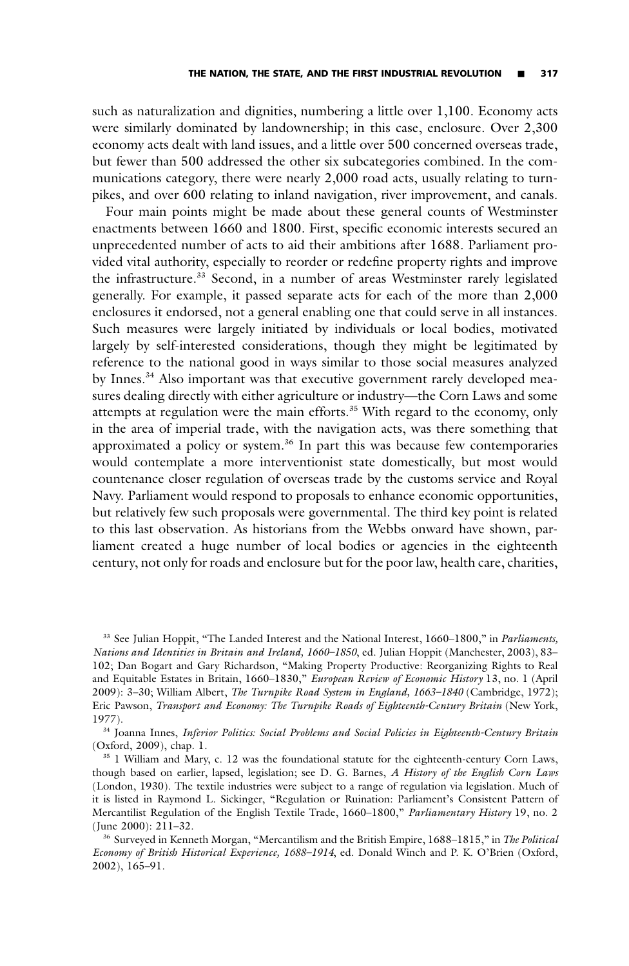such as naturalization and dignities, numbering a little over 1,100. Economy acts were similarly dominated by landownership; in this case, enclosure. Over 2,300 economy acts dealt with land issues, and a little over 500 concerned overseas trade, but fewer than 500 addressed the other six subcategories combined. In the communications category, there were nearly 2,000 road acts, usually relating to turnpikes, and over 600 relating to inland navigation, river improvement, and canals.

Four main points might be made about these general counts of Westminster enactments between 1660 and 1800. First, specific economic interests secured an unprecedented number of acts to aid their ambitions after 1688. Parliament provided vital authority, especially to reorder or redefine property rights and improve the infrastructure.<sup>33</sup> Second, in a number of areas Westminster rarely legislated generally. For example, it passed separate acts for each of the more than 2,000 enclosures it endorsed, not a general enabling one that could serve in all instances. Such measures were largely initiated by individuals or local bodies, motivated largely by self-interested considerations, though they might be legitimated by reference to the national good in ways similar to those social measures analyzed by Innes.<sup>34</sup> Also important was that executive government rarely developed measures dealing directly with either agriculture or industry—the Corn Laws and some attempts at regulation were the main efforts.<sup>35</sup> With regard to the economy, only in the area of imperial trade, with the navigation acts, was there something that approximated a policy or system.<sup>36</sup> In part this was because few contemporaries would contemplate a more interventionist state domestically, but most would countenance closer regulation of overseas trade by the customs service and Royal Navy. Parliament would respond to proposals to enhance economic opportunities, but relatively few such proposals were governmental. The third key point is related to this last observation. As historians from the Webbs onward have shown, parliament created a huge number of local bodies or agencies in the eighteenth century, not only for roads and enclosure but for the poor law, health care, charities,

<sup>34</sup> Joanna Innes, *Inferior Politics: Social Problems and Social Policies in Eighteenth-Century Britain* (Oxford, 2009), chap. 1.

<sup>33</sup> See Julian Hoppit, "The Landed Interest and the National Interest, 1660–1800," in *Parliaments, Nations and Identities in Britain and Ireland, 1660–1850*, ed. Julian Hoppit (Manchester, 2003), 83– 102; Dan Bogart and Gary Richardson, "Making Property Productive: Reorganizing Rights to Real and Equitable Estates in Britain, 1660–1830," *European Review of Economic History* 13, no. 1 (April 2009): 3–30; William Albert, *The Turnpike Road System in England, 1663–1840* (Cambridge, 1972); Eric Pawson, *Transport and Economy: The Turnpike Roads of Eighteenth-Century Britain* (New York, 1977).

<sup>&</sup>lt;sup>35</sup> 1 William and Mary, c. 12 was the foundational statute for the eighteenth-century Corn Laws, though based on earlier, lapsed, legislation; see D. G. Barnes, *A History of the English Corn Laws* (London, 1930). The textile industries were subject to a range of regulation via legislation. Much of it is listed in Raymond L. Sickinger, "Regulation or Ruination: Parliament's Consistent Pattern of Mercantilist Regulation of the English Textile Trade, 1660–1800," *Parliamentary History* 19, no. 2 (June 2000): 211–32.

<sup>36</sup> Surveyed in Kenneth Morgan, "Mercantilism and the British Empire, 1688–1815," in *The Political Economy of British Historical Experience, 1688–1914*, ed. Donald Winch and P. K. O'Brien (Oxford, 2002), 165–91.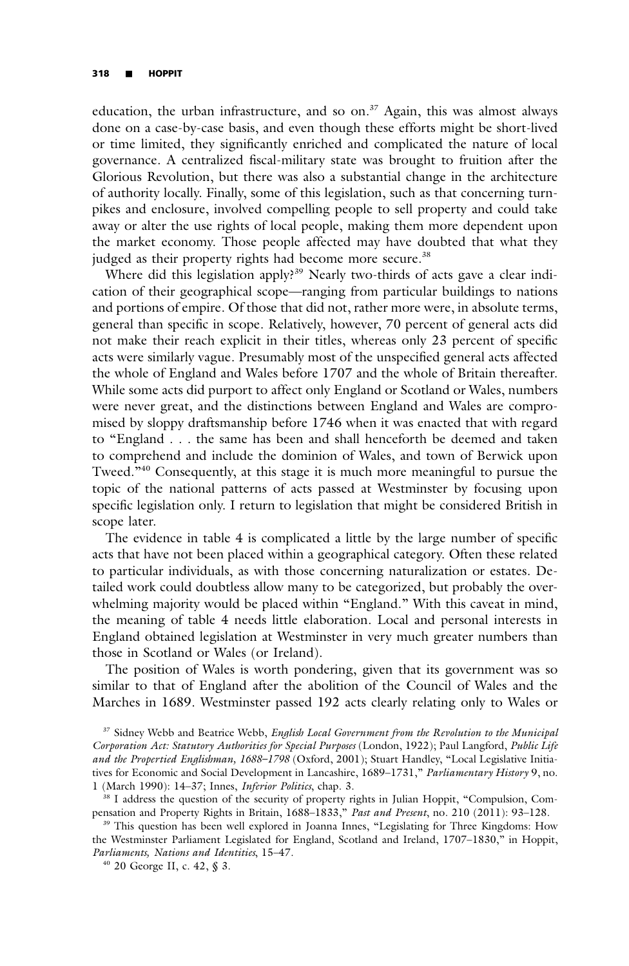education, the urban infrastructure, and so on.<sup>37</sup> Again, this was almost always done on a case-by-case basis, and even though these efforts might be short-lived or time limited, they significantly enriched and complicated the nature of local governance. A centralized fiscal-military state was brought to fruition after the Glorious Revolution, but there was also a substantial change in the architecture of authority locally. Finally, some of this legislation, such as that concerning turnpikes and enclosure, involved compelling people to sell property and could take away or alter the use rights of local people, making them more dependent upon the market economy. Those people affected may have doubted that what they judged as their property rights had become more secure.<sup>38</sup>

Where did this legislation apply?<sup>39</sup> Nearly two-thirds of acts gave a clear indication of their geographical scope—ranging from particular buildings to nations and portions of empire. Of those that did not, rather more were, in absolute terms, general than specific in scope. Relatively, however, 70 percent of general acts did not make their reach explicit in their titles, whereas only 23 percent of specific acts were similarly vague. Presumably most of the unspecified general acts affected the whole of England and Wales before 1707 and the whole of Britain thereafter. While some acts did purport to affect only England or Scotland or Wales, numbers were never great, and the distinctions between England and Wales are compromised by sloppy draftsmanship before 1746 when it was enacted that with regard to "England . . . the same has been and shall henceforth be deemed and taken to comprehend and include the dominion of Wales, and town of Berwick upon Tweed."40 Consequently, at this stage it is much more meaningful to pursue the topic of the national patterns of acts passed at Westminster by focusing upon specific legislation only. I return to legislation that might be considered British in scope later.

The evidence in table 4 is complicated a little by the large number of specific acts that have not been placed within a geographical category. Often these related to particular individuals, as with those concerning naturalization or estates. Detailed work could doubtless allow many to be categorized, but probably the overwhelming majority would be placed within "England." With this caveat in mind, the meaning of table 4 needs little elaboration. Local and personal interests in England obtained legislation at Westminster in very much greater numbers than those in Scotland or Wales (or Ireland).

The position of Wales is worth pondering, given that its government was so similar to that of England after the abolition of the Council of Wales and the Marches in 1689. Westminster passed 192 acts clearly relating only to Wales or

<sup>37</sup> Sidney Webb and Beatrice Webb, *English Local Government from the Revolution to the Municipal Corporation Act: Statutory Authorities for Special Purposes* (London, 1922); Paul Langford, *Public Life and the Propertied Englishman, 1688–1798* (Oxford, 2001); Stuart Handley, "Local Legislative Initiatives for Economic and Social Development in Lancashire, 1689–1731," *Parliamentary History* 9, no. 1 (March 1990): 14–37; Innes, *Inferior Politics*, chap. 3.

<sup>38</sup> I address the question of the security of property rights in Julian Hoppit, "Compulsion, Compensation and Property Rights in Britain, 1688–1833," *Past and Present*, no. 210 (2011): 93–128.

<sup>39</sup> This question has been well explored in Joanna Innes, "Legislating for Three Kingdoms: How the Westminster Parliament Legislated for England, Scotland and Ireland, 1707–1830," in Hoppit, *Parliaments, Nations and Identities*, 15–47.

 $40$  20 George II, c. 42, § 3.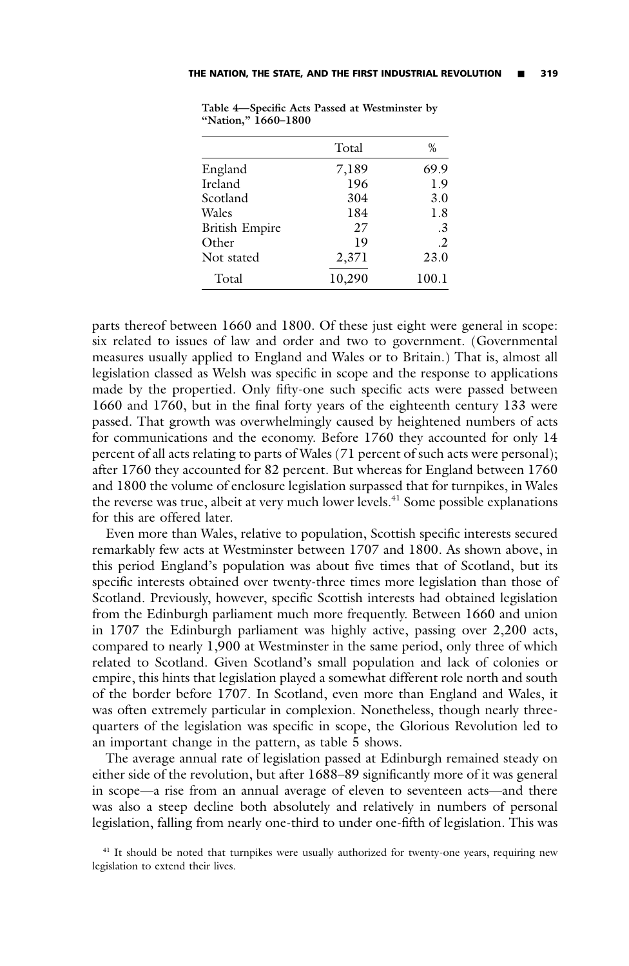|                       | Total  | %               |
|-----------------------|--------|-----------------|
| England               | 7,189  | 69.9            |
| Ireland               | 196    | 1.9             |
| Scotland              | 304    | 3.0             |
| Wales                 | 184    | 1.8             |
| <b>British Empire</b> | 27     | $\cdot$ 3       |
| Other                 | 19     | $\overline{.2}$ |
| Not stated            | 2,371  | 23.0            |
| Total                 | 10,290 | 100.1           |
|                       |        |                 |

**Table 4—Specific Acts Passed at Westminster by "Nation," 1660–1800**

parts thereof between 1660 and 1800. Of these just eight were general in scope: six related to issues of law and order and two to government. (Governmental measures usually applied to England and Wales or to Britain.) That is, almost all legislation classed as Welsh was specific in scope and the response to applications made by the propertied. Only fifty-one such specific acts were passed between 1660 and 1760, but in the final forty years of the eighteenth century 133 were passed. That growth was overwhelmingly caused by heightened numbers of acts for communications and the economy. Before 1760 they accounted for only 14 percent of all acts relating to parts of Wales (71 percent of such acts were personal); after 1760 they accounted for 82 percent. But whereas for England between 1760 and 1800 the volume of enclosure legislation surpassed that for turnpikes, in Wales the reverse was true, albeit at very much lower levels.<sup>41</sup> Some possible explanations for this are offered later.

Even more than Wales, relative to population, Scottish specific interests secured remarkably few acts at Westminster between 1707 and 1800. As shown above, in this period England's population was about five times that of Scotland, but its specific interests obtained over twenty-three times more legislation than those of Scotland. Previously, however, specific Scottish interests had obtained legislation from the Edinburgh parliament much more frequently. Between 1660 and union in 1707 the Edinburgh parliament was highly active, passing over 2,200 acts, compared to nearly 1,900 at Westminster in the same period, only three of which related to Scotland. Given Scotland's small population and lack of colonies or empire, this hints that legislation played a somewhat different role north and south of the border before 1707. In Scotland, even more than England and Wales, it was often extremely particular in complexion. Nonetheless, though nearly threequarters of the legislation was specific in scope, the Glorious Revolution led to an important change in the pattern, as table 5 shows.

The average annual rate of legislation passed at Edinburgh remained steady on either side of the revolution, but after 1688–89 significantly more of it was general in scope—a rise from an annual average of eleven to seventeen acts—and there was also a steep decline both absolutely and relatively in numbers of personal legislation, falling from nearly one-third to under one-fifth of legislation. This was

<sup>&</sup>lt;sup>41</sup> It should be noted that turnpikes were usually authorized for twenty-one years, requiring new legislation to extend their lives.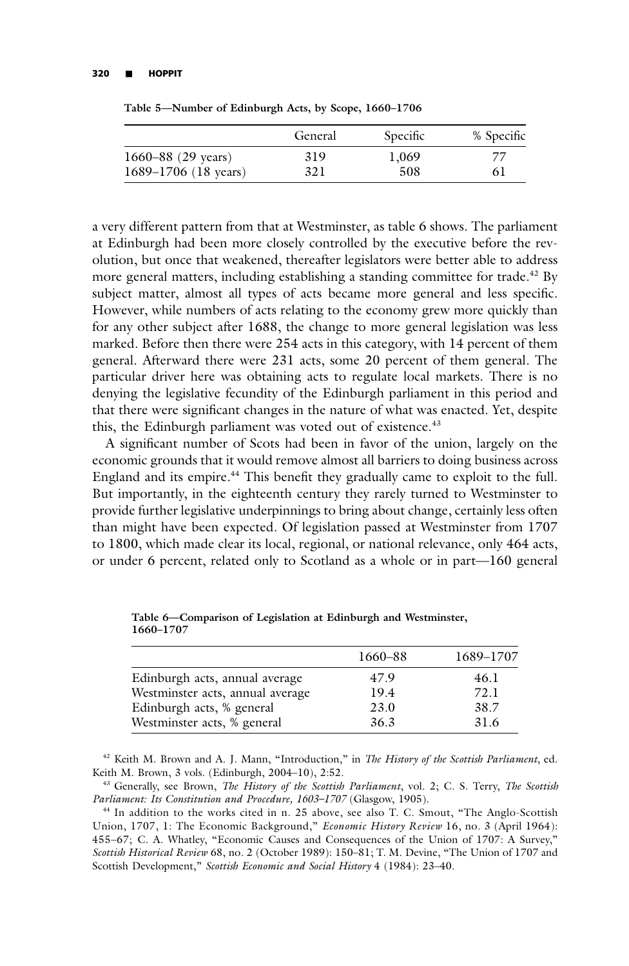|                              | General | Specific | % Specific |
|------------------------------|---------|----------|------------|
| 1660–88 $(29 \text{ years})$ | 319     | 1,069    | 77         |
| 1689-1706 (18 years)         | 321     | 508      | 6 I        |

**Table 5—Number of Edinburgh Acts, by Scope, 1660–1706**

a very different pattern from that at Westminster, as table 6 shows. The parliament at Edinburgh had been more closely controlled by the executive before the revolution, but once that weakened, thereafter legislators were better able to address more general matters, including establishing a standing committee for trade.<sup>42</sup> By subject matter, almost all types of acts became more general and less specific. However, while numbers of acts relating to the economy grew more quickly than for any other subject after 1688, the change to more general legislation was less marked. Before then there were 254 acts in this category, with 14 percent of them general. Afterward there were 231 acts, some 20 percent of them general. The particular driver here was obtaining acts to regulate local markets. There is no denying the legislative fecundity of the Edinburgh parliament in this period and that there were significant changes in the nature of what was enacted. Yet, despite this, the Edinburgh parliament was voted out of existence.<sup>43</sup>

A significant number of Scots had been in favor of the union, largely on the economic grounds that it would remove almost all barriers to doing business across England and its empire.<sup>44</sup> This benefit they gradually came to exploit to the full. But importantly, in the eighteenth century they rarely turned to Westminster to provide further legislative underpinnings to bring about change, certainly less often than might have been expected. Of legislation passed at Westminster from 1707 to 1800, which made clear its local, regional, or national relevance, only 464 acts, or under 6 percent, related only to Scotland as a whole or in part—160 general

|                                  | 1660–88 | 1689-1707 |
|----------------------------------|---------|-----------|
| Edinburgh acts, annual average   | 47.9    | 46.1      |
| Westminster acts, annual average | 19.4    | 72.1      |
| Edinburgh acts, % general        | 23.0    | 38.7      |
| Westminster acts, % general      | 36.3    | 31.6      |

**Table 6—Comparison of Legislation at Edinburgh and Westminster, 1660–1707**

<sup>42</sup> Keith M. Brown and A. J. Mann, "Introduction," in *The History of the Scottish Parliament*, ed. Keith M. Brown, 3 vols. (Edinburgh, 2004–10), 2:52.

<sup>43</sup> Generally, see Brown, *The History of the Scottish Parliament*, vol. 2; C. S. Terry, *The Scottish Parliament: Its Constitution and Procedure, 1603–1707* (Glasgow, 1905).

<sup>44</sup> In addition to the works cited in n. 25 above, see also T. C. Smout, "The Anglo-Scottish Union, 1707, 1: The Economic Background," *Economic History Review* 16, no. 3 (April 1964): 455–67; C. A. Whatley, "Economic Causes and Consequences of the Union of 1707: A Survey," *Scottish Historical Review* 68, no. 2 (October 1989): 150–81; T. M. Devine, "The Union of 1707 and Scottish Development," *Scottish Economic and Social History* 4 (1984): 23–40.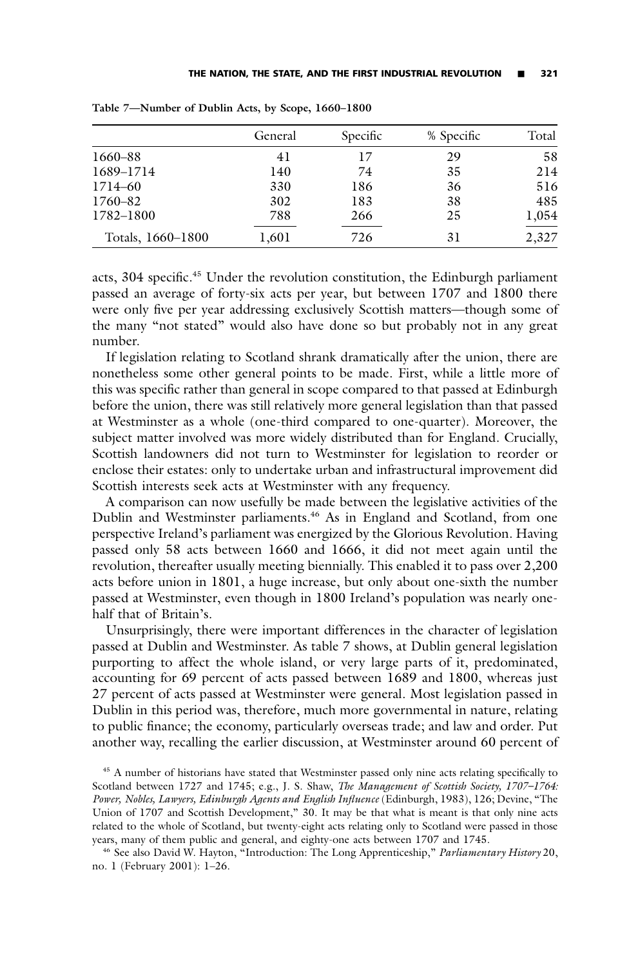|                   | General | Specific | % Specific | Total |
|-------------------|---------|----------|------------|-------|
| 1660-88           | 41      | 17       | 29         | 58    |
| 1689-1714         | 140     | 74       | 35         | 214   |
| 1714-60           | 330     | 186      | 36         | 516   |
| 1760–82           | 302     | 183      | 38         | 485   |
| 1782-1800         | 788     | 266      | 25         | 1,054 |
| Totals, 1660–1800 | 1,601   | 726      | 31         | 2,327 |

**Table 7—Number of Dublin Acts, by Scope, 1660–1800**

acts, 304 specific.<sup>45</sup> Under the revolution constitution, the Edinburgh parliament passed an average of forty-six acts per year, but between 1707 and 1800 there were only five per year addressing exclusively Scottish matters—though some of the many "not stated" would also have done so but probably not in any great number.

If legislation relating to Scotland shrank dramatically after the union, there are nonetheless some other general points to be made. First, while a little more of this was specific rather than general in scope compared to that passed at Edinburgh before the union, there was still relatively more general legislation than that passed at Westminster as a whole (one-third compared to one-quarter). Moreover, the subject matter involved was more widely distributed than for England. Crucially, Scottish landowners did not turn to Westminster for legislation to reorder or enclose their estates: only to undertake urban and infrastructural improvement did Scottish interests seek acts at Westminster with any frequency.

A comparison can now usefully be made between the legislative activities of the Dublin and Westminster parliaments.<sup>46</sup> As in England and Scotland, from one perspective Ireland's parliament was energized by the Glorious Revolution. Having passed only 58 acts between 1660 and 1666, it did not meet again until the revolution, thereafter usually meeting biennially. This enabled it to pass over 2,200 acts before union in 1801, a huge increase, but only about one-sixth the number passed at Westminster, even though in 1800 Ireland's population was nearly onehalf that of Britain's.

Unsurprisingly, there were important differences in the character of legislation passed at Dublin and Westminster. As table 7 shows, at Dublin general legislation purporting to affect the whole island, or very large parts of it, predominated, accounting for 69 percent of acts passed between 1689 and 1800, whereas just 27 percent of acts passed at Westminster were general. Most legislation passed in Dublin in this period was, therefore, much more governmental in nature, relating to public finance; the economy, particularly overseas trade; and law and order. Put another way, recalling the earlier discussion, at Westminster around 60 percent of

<sup>&</sup>lt;sup>45</sup> A number of historians have stated that Westminster passed only nine acts relating specifically to Scotland between 1727 and 1745; e.g., J. S. Shaw, *The Management of Scottish Society, 1707–1764: Power, Nobles, Lawyers, Edinburgh Agents and English Influence* (Edinburgh, 1983), 126; Devine, "The Union of 1707 and Scottish Development," 30. It may be that what is meant is that only nine acts related to the whole of Scotland, but twenty-eight acts relating only to Scotland were passed in those years, many of them public and general, and eighty-one acts between 1707 and 1745.

<sup>46</sup> See also David W. Hayton, "Introduction: The Long Apprenticeship," *Parliamentary History* 20, no. 1 (February 2001): 1–26.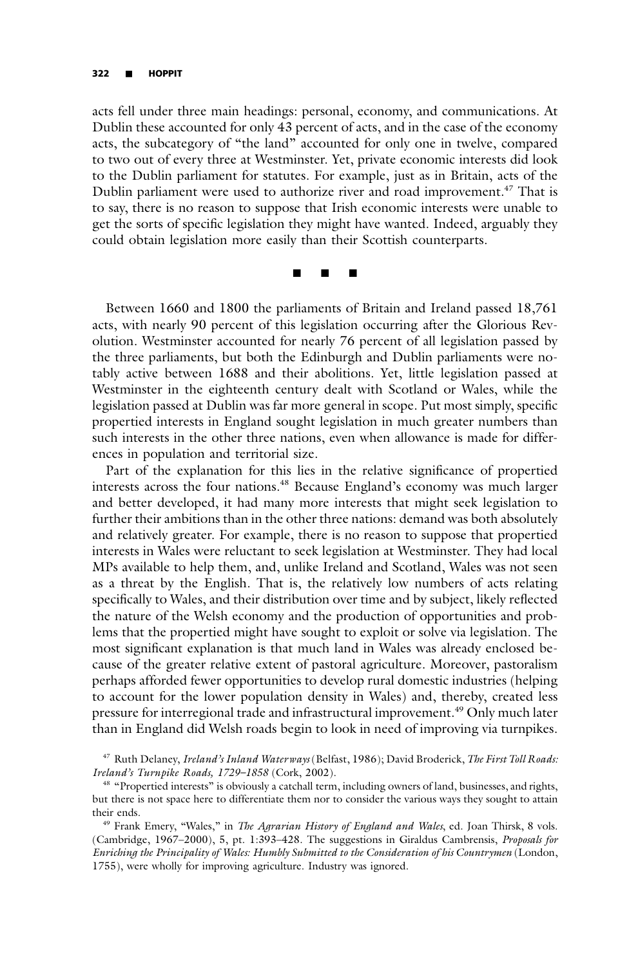acts fell under three main headings: personal, economy, and communications. At Dublin these accounted for only 43 percent of acts, and in the case of the economy acts, the subcategory of "the land" accounted for only one in twelve, compared to two out of every three at Westminster. Yet, private economic interests did look to the Dublin parliament for statutes. For example, just as in Britain, acts of the Dublin parliament were used to authorize river and road improvement.<sup>47</sup> That is to say, there is no reason to suppose that Irish economic interests were unable to get the sorts of specific legislation they might have wanted. Indeed, arguably they could obtain legislation more easily than their Scottish counterparts.

> ---

Between 1660 and 1800 the parliaments of Britain and Ireland passed 18,761 acts, with nearly 90 percent of this legislation occurring after the Glorious Revolution. Westminster accounted for nearly 76 percent of all legislation passed by the three parliaments, but both the Edinburgh and Dublin parliaments were notably active between 1688 and their abolitions. Yet, little legislation passed at Westminster in the eighteenth century dealt with Scotland or Wales, while the legislation passed at Dublin was far more general in scope. Put most simply, specific propertied interests in England sought legislation in much greater numbers than such interests in the other three nations, even when allowance is made for differences in population and territorial size.

Part of the explanation for this lies in the relative significance of propertied interests across the four nations.<sup>48</sup> Because England's economy was much larger and better developed, it had many more interests that might seek legislation to further their ambitions than in the other three nations: demand was both absolutely and relatively greater. For example, there is no reason to suppose that propertied interests in Wales were reluctant to seek legislation at Westminster. They had local MPs available to help them, and, unlike Ireland and Scotland, Wales was not seen as a threat by the English. That is, the relatively low numbers of acts relating specifically to Wales, and their distribution over time and by subject, likely reflected the nature of the Welsh economy and the production of opportunities and problems that the propertied might have sought to exploit or solve via legislation. The most significant explanation is that much land in Wales was already enclosed because of the greater relative extent of pastoral agriculture. Moreover, pastoralism perhaps afforded fewer opportunities to develop rural domestic industries (helping to account for the lower population density in Wales) and, thereby, created less pressure for interregional trade and infrastructural improvement.<sup>49</sup> Only much later than in England did Welsh roads begin to look in need of improving via turnpikes.

<sup>47</sup> Ruth Delaney, *Ireland's Inland Waterways* (Belfast, 1986); David Broderick, *The First Toll Roads: Ireland's Turnpike Roads, 1729–1858* (Cork, 2002).

<sup>48</sup> "Propertied interests" is obviously a catchall term, including owners of land, businesses, and rights, but there is not space here to differentiate them nor to consider the various ways they sought to attain their ends.

<sup>49</sup> Frank Emery, "Wales," in *The Agrarian History of England and Wales*, ed. Joan Thirsk, 8 vols. (Cambridge, 1967–2000), 5, pt. 1:393–428. The suggestions in Giraldus Cambrensis, *Proposals for Enriching the Principality of Wales: Humbly Submitted to the Consideration of his Countrymen* (London, 1755), were wholly for improving agriculture. Industry was ignored.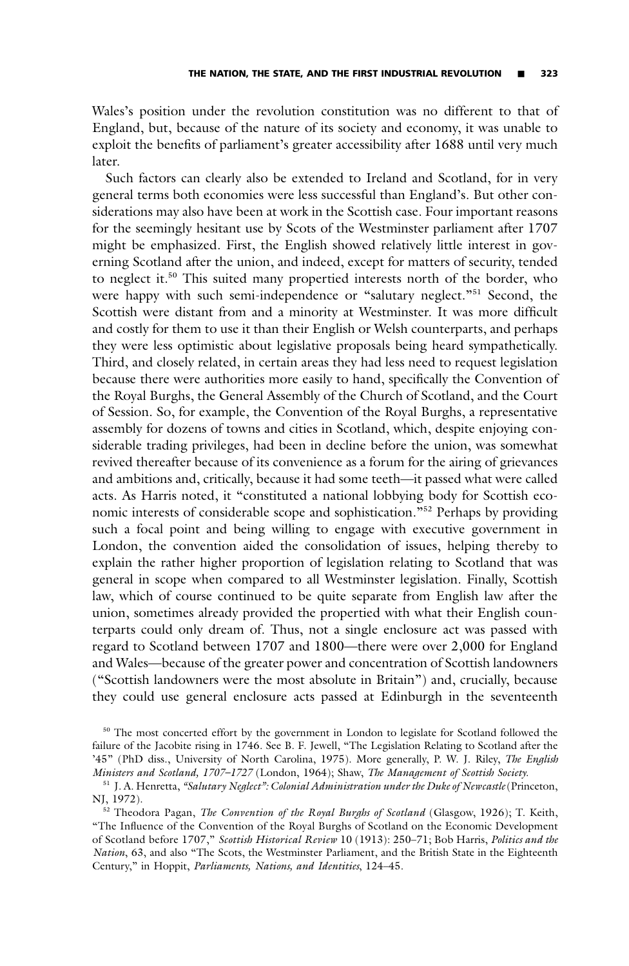Wales's position under the revolution constitution was no different to that of England, but, because of the nature of its society and economy, it was unable to exploit the benefits of parliament's greater accessibility after 1688 until very much later.

Such factors can clearly also be extended to Ireland and Scotland, for in very general terms both economies were less successful than England's. But other considerations may also have been at work in the Scottish case. Four important reasons for the seemingly hesitant use by Scots of the Westminster parliament after 1707 might be emphasized. First, the English showed relatively little interest in governing Scotland after the union, and indeed, except for matters of security, tended to neglect it.<sup>50</sup> This suited many propertied interests north of the border, who were happy with such semi-independence or "salutary neglect."<sup>51</sup> Second, the Scottish were distant from and a minority at Westminster. It was more difficult and costly for them to use it than their English or Welsh counterparts, and perhaps they were less optimistic about legislative proposals being heard sympathetically. Third, and closely related, in certain areas they had less need to request legislation because there were authorities more easily to hand, specifically the Convention of the Royal Burghs, the General Assembly of the Church of Scotland, and the Court of Session. So, for example, the Convention of the Royal Burghs, a representative assembly for dozens of towns and cities in Scotland, which, despite enjoying considerable trading privileges, had been in decline before the union, was somewhat revived thereafter because of its convenience as a forum for the airing of grievances and ambitions and, critically, because it had some teeth—it passed what were called acts. As Harris noted, it "constituted a national lobbying body for Scottish economic interests of considerable scope and sophistication."<sup>52</sup> Perhaps by providing such a focal point and being willing to engage with executive government in London, the convention aided the consolidation of issues, helping thereby to explain the rather higher proportion of legislation relating to Scotland that was general in scope when compared to all Westminster legislation. Finally, Scottish law, which of course continued to be quite separate from English law after the union, sometimes already provided the propertied with what their English counterparts could only dream of. Thus, not a single enclosure act was passed with regard to Scotland between 1707 and 1800—there were over 2,000 for England and Wales—because of the greater power and concentration of Scottish landowners ("Scottish landowners were the most absolute in Britain") and, crucially, because they could use general enclosure acts passed at Edinburgh in the seventeenth

<sup>50</sup> The most concerted effort by the government in London to legislate for Scotland followed the failure of the Jacobite rising in 1746. See B. F. Jewell, "The Legislation Relating to Scotland after the '45" (PhD diss., University of North Carolina, 1975). More generally, P. W. J. Riley, *The English Ministers and Scotland, 1707–1727* (London, 1964); Shaw, *The Management of Scottish Society*.

<sup>51</sup> J. A. Henretta, *"Salutary Neglect": Colonial Administration under the Duke of Newcastle*(Princeton, NJ, 1972).

<sup>52</sup> Theodora Pagan, *The Convention of the Royal Burghs of Scotland* (Glasgow, 1926); T. Keith, "The Influence of the Convention of the Royal Burghs of Scotland on the Economic Development of Scotland before 1707," *Scottish Historical Review* 10 (1913): 250–71; Bob Harris, *Politics and the Nation*, 63, and also "The Scots, the Westminster Parliament, and the British State in the Eighteenth Century," in Hoppit, *Parliaments, Nations, and Identities*, 124–45.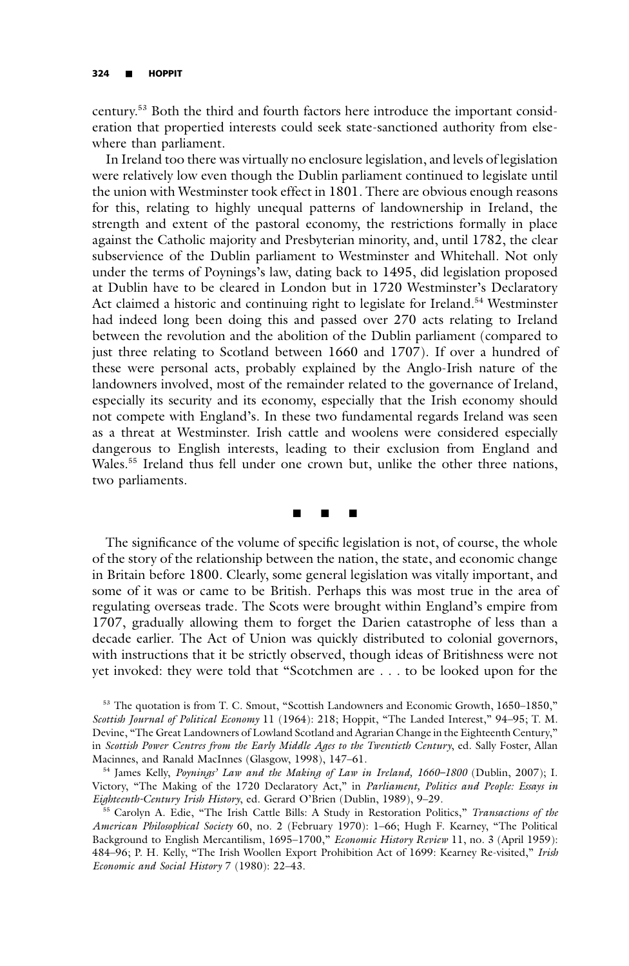century.53 Both the third and fourth factors here introduce the important consideration that propertied interests could seek state-sanctioned authority from elsewhere than parliament.

In Ireland too there was virtually no enclosure legislation, and levels of legislation were relatively low even though the Dublin parliament continued to legislate until the union with Westminster took effect in 1801. There are obvious enough reasons for this, relating to highly unequal patterns of landownership in Ireland, the strength and extent of the pastoral economy, the restrictions formally in place against the Catholic majority and Presbyterian minority, and, until 1782, the clear subservience of the Dublin parliament to Westminster and Whitehall. Not only under the terms of Poynings's law, dating back to 1495, did legislation proposed at Dublin have to be cleared in London but in 1720 Westminster's Declaratory Act claimed a historic and continuing right to legislate for Ireland.<sup>54</sup> Westminster had indeed long been doing this and passed over 270 acts relating to Ireland between the revolution and the abolition of the Dublin parliament (compared to just three relating to Scotland between 1660 and 1707). If over a hundred of these were personal acts, probably explained by the Anglo-Irish nature of the landowners involved, most of the remainder related to the governance of Ireland, especially its security and its economy, especially that the Irish economy should not compete with England's. In these two fundamental regards Ireland was seen as a threat at Westminster. Irish cattle and woolens were considered especially dangerous to English interests, leading to their exclusion from England and Wales.<sup>55</sup> Ireland thus fell under one crown but, unlike the other three nations, two parliaments.

#### ---

The significance of the volume of specific legislation is not, of course, the whole of the story of the relationship between the nation, the state, and economic change in Britain before 1800. Clearly, some general legislation was vitally important, and some of it was or came to be British. Perhaps this was most true in the area of regulating overseas trade. The Scots were brought within England's empire from 1707, gradually allowing them to forget the Darien catastrophe of less than a decade earlier. The Act of Union was quickly distributed to colonial governors, with instructions that it be strictly observed, though ideas of Britishness were not yet invoked: they were told that "Scotchmen are . . . to be looked upon for the

<sup>53</sup> The quotation is from T. C. Smout, "Scottish Landowners and Economic Growth, 1650–1850," *Scottish Journal of Political Economy* 11 (1964): 218; Hoppit, "The Landed Interest," 94–95; T. M. Devine, "The Great Landowners of Lowland Scotland and Agrarian Change in the Eighteenth Century," in *Scottish Power Centres from the Early Middle Ages to the Twentieth Century*, ed. Sally Foster, Allan Macinnes, and Ranald MacInnes (Glasgow, 1998), 147–61.

<sup>54</sup> James Kelly, *Poynings' Law and the Making of Law in Ireland, 1660–1800* (Dublin, 2007); I. Victory, "The Making of the 1720 Declaratory Act," in *Parliament, Politics and People: Essays in Eighteenth-Century Irish History*, ed. Gerard O'Brien (Dublin, 1989), 9–29.

<sup>55</sup> Carolyn A. Edie, "The Irish Cattle Bills: A Study in Restoration Politics," *Transactions of the American Philosophical Society* 60, no. 2 (February 1970): 1–66; Hugh F. Kearney, "The Political Background to English Mercantilism, 1695–1700," *Economic History Review* 11, no. 3 (April 1959): 484–96; P. H. Kelly, "The Irish Woollen Export Prohibition Act of 1699: Kearney Re-visited," *Irish Economic and Social History* 7 (1980): 22–43.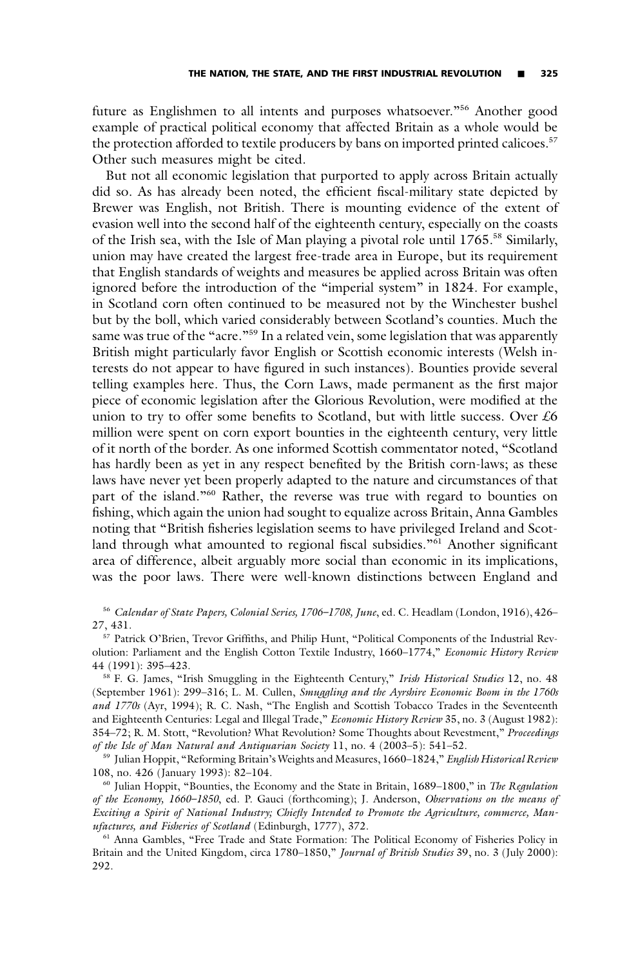future as Englishmen to all intents and purposes whatsoever."<sup>56</sup> Another good example of practical political economy that affected Britain as a whole would be the protection afforded to textile producers by bans on imported printed calicoes.<sup>57</sup> Other such measures might be cited.

But not all economic legislation that purported to apply across Britain actually did so. As has already been noted, the efficient fiscal-military state depicted by Brewer was English, not British. There is mounting evidence of the extent of evasion well into the second half of the eighteenth century, especially on the coasts of the Irish sea, with the Isle of Man playing a pivotal role until 1765.<sup>58</sup> Similarly, union may have created the largest free-trade area in Europe, but its requirement that English standards of weights and measures be applied across Britain was often ignored before the introduction of the "imperial system" in 1824. For example, in Scotland corn often continued to be measured not by the Winchester bushel but by the boll, which varied considerably between Scotland's counties. Much the same was true of the "acre."<sup>59</sup> In a related vein, some legislation that was apparently British might particularly favor English or Scottish economic interests (Welsh interests do not appear to have figured in such instances). Bounties provide several telling examples here. Thus, the Corn Laws, made permanent as the first major piece of economic legislation after the Glorious Revolution, were modified at the union to try to offer some benefits to Scotland, but with little success. Over  $£6$ million were spent on corn export bounties in the eighteenth century, very little of it north of the border. As one informed Scottish commentator noted, "Scotland has hardly been as yet in any respect benefited by the British corn-laws; as these laws have never yet been properly adapted to the nature and circumstances of that part of the island."<sup>60</sup> Rather, the reverse was true with regard to bounties on fishing, which again the union had sought to equalize across Britain, Anna Gambles noting that "British fisheries legislation seems to have privileged Ireland and Scotland through what amounted to regional fiscal subsidies."<sup>61</sup> Another significant area of difference, albeit arguably more social than economic in its implications, was the poor laws. There were well-known distinctions between England and

<sup>56</sup> *Calendar of State Papers, Colonial Series, 1706–1708, June*, ed. C. Headlam (London, 1916), 426– 27, 431.

<sup>57</sup> Patrick O'Brien, Trevor Griffiths, and Philip Hunt, "Political Components of the Industrial Revolution: Parliament and the English Cotton Textile Industry, 1660–1774," *Economic History Review* 44 (1991): 395–423.

<sup>58</sup> F. G. James, "Irish Smuggling in the Eighteenth Century," *Irish Historical Studies* 12, no. 48 (September 1961): 299–316; L. M. Cullen, *Smuggling and the Ayrshire Economic Boom in the 1760s and 1770s* (Ayr, 1994); R. C. Nash, "The English and Scottish Tobacco Trades in the Seventeenth and Eighteenth Centuries: Legal and Illegal Trade," *Economic History Review* 35, no. 3 (August 1982): 354–72; R. M. Stott, "Revolution? What Revolution? Some Thoughts about Revestment," *Proceedings of the Isle of Man Natural and Antiquarian Society* 11, no. 4 (2003–5): 541–52.

<sup>59</sup> Julian Hoppit, "Reforming Britain's Weights and Measures, 1660–1824," *English Historical Review* 108, no. 426 (January 1993): 82–104.

<sup>60</sup> Julian Hoppit, "Bounties, the Economy and the State in Britain, 1689–1800," in *The Regulation of the Economy, 1660–1850*, ed. P. Gauci (forthcoming); J. Anderson, *Observations on the means of Exciting a Spirit of National Industry; Chiefly Intended to Promote the Agriculture, commerce, Manufactures, and Fisheries of Scotland* (Edinburgh, 1777), 372.

<sup>61</sup> Anna Gambles, "Free Trade and State Formation: The Political Economy of Fisheries Policy in Britain and the United Kingdom, circa 1780–1850," *Journal of British Studies* 39, no. 3 (July 2000): 292.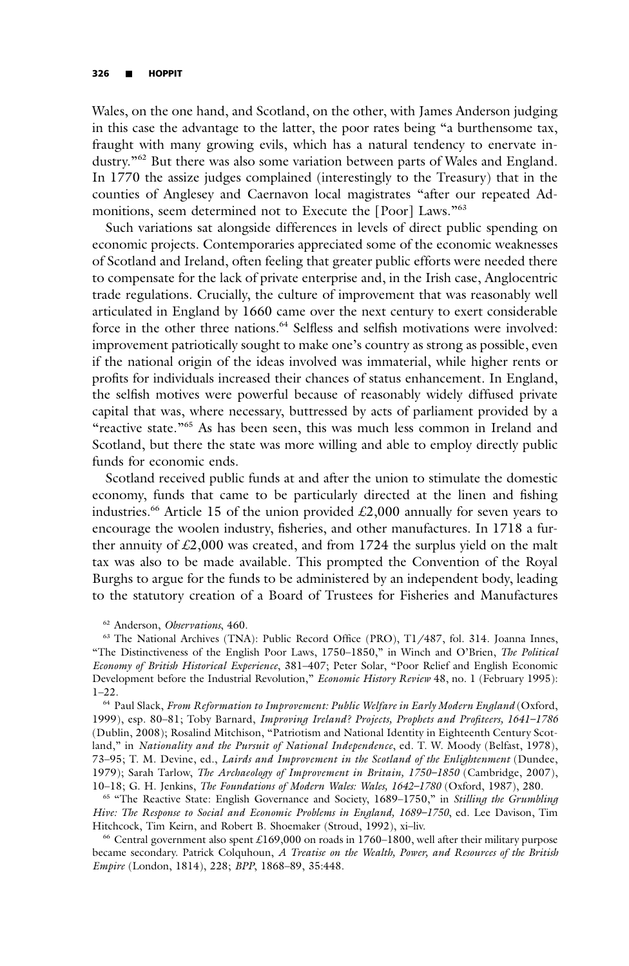Wales, on the one hand, and Scotland, on the other, with James Anderson judging in this case the advantage to the latter, the poor rates being "a burthensome tax, fraught with many growing evils, which has a natural tendency to enervate industry."62 But there was also some variation between parts of Wales and England. In 1770 the assize judges complained (interestingly to the Treasury) that in the counties of Anglesey and Caernavon local magistrates "after our repeated Admonitions, seem determined not to Execute the [Poor] Laws."63

Such variations sat alongside differences in levels of direct public spending on economic projects. Contemporaries appreciated some of the economic weaknesses of Scotland and Ireland, often feeling that greater public efforts were needed there to compensate for the lack of private enterprise and, in the Irish case, Anglocentric trade regulations. Crucially, the culture of improvement that was reasonably well articulated in England by 1660 came over the next century to exert considerable force in the other three nations.<sup>64</sup> Selfless and selfish motivations were involved: improvement patriotically sought to make one's country as strong as possible, even if the national origin of the ideas involved was immaterial, while higher rents or profits for individuals increased their chances of status enhancement. In England, the selfish motives were powerful because of reasonably widely diffused private capital that was, where necessary, buttressed by acts of parliament provided by a "reactive state."<sup>65</sup> As has been seen, this was much less common in Ireland and Scotland, but there the state was more willing and able to employ directly public funds for economic ends.

Scotland received public funds at and after the union to stimulate the domestic economy, funds that came to be particularly directed at the linen and fishing industries.<sup>66</sup> Article 15 of the union provided  $\pounds2,000$  annually for seven years to encourage the woolen industry, fisheries, and other manufactures. In 1718 a further annuity of  $£2,000$  was created, and from 1724 the surplus yield on the malt tax was also to be made available. This prompted the Convention of the Royal Burghs to argue for the funds to be administered by an independent body, leading to the statutory creation of a Board of Trustees for Fisheries and Manufactures

<sup>62</sup> Anderson, *Observations*, 460.

<sup>63</sup> The National Archives (TNA): Public Record Office (PRO), T1/487, fol. 314. Joanna Innes, "The Distinctiveness of the English Poor Laws, 1750–1850," in Winch and O'Brien, *The Political Economy of British Historical Experience*, 381–407; Peter Solar, "Poor Relief and English Economic Development before the Industrial Revolution," *Economic History Review* 48, no. 1 (February 1995): 1–22.

<sup>64</sup> Paul Slack, *From Reformation to Improvement: Public Welfare in Early Modern England* (Oxford, 1999), esp. 80–81; Toby Barnard, *Improving Ireland? Projects, Prophets and Profiteers, 1641–1786* (Dublin, 2008); Rosalind Mitchison, "Patriotism and National Identity in Eighteenth Century Scotland," in *Nationality and the Pursuit of National Independence*, ed. T. W. Moody (Belfast, 1978), 73–95; T. M. Devine, ed., *Lairds and Improvement in the Scotland of the Enlightenment* (Dundee, 1979); Sarah Tarlow, *The Archaeology of Improvement in Britain, 1750–1850* (Cambridge, 2007), 10–18; G. H. Jenkins, *The Foundations of Modern Wales: Wales, 1642–1780* (Oxford, 1987), 280.

<sup>65</sup> "The Reactive State: English Governance and Society, 1689–1750," in *Stilling the Grumbling Hive: The Response to Social and Economic Problems in England, 1689–1750*, ed. Lee Davison, Tim Hitchcock, Tim Keirn, and Robert B. Shoemaker (Stroud, 1992), xi–liv.

<sup>66</sup> Central government also spent £169,000 on roads in 1760–1800, well after their military purpose became secondary. Patrick Colquhoun, *A Treatise on the Wealth, Power, and Resources of the British Empire* (London, 1814), 228; *BPP*, 1868–89, 35:448.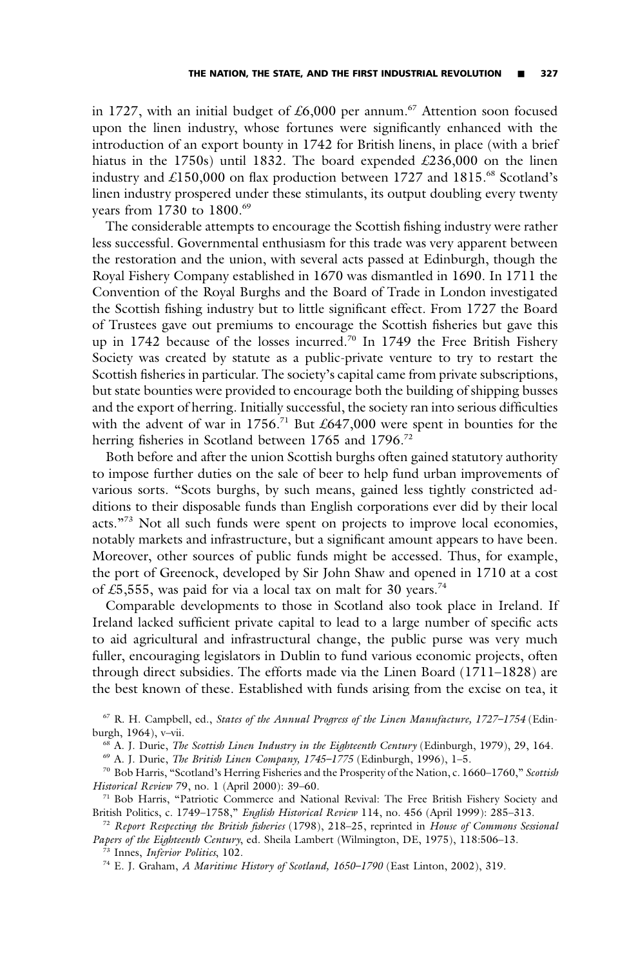in 1727, with an initial budget of  $\text{\pounds}6,000$  per annum.<sup>67</sup> Attention soon focused upon the linen industry, whose fortunes were significantly enhanced with the introduction of an export bounty in 1742 for British linens, in place (with a brief hiatus in the 1750s) until 1832. The board expended  $£236,000$  on the linen industry and £150,000 on flax production between 1727 and 1815.<sup>68</sup> Scotland's linen industry prospered under these stimulants, its output doubling every twenty years from 1730 to 1800.<sup>69</sup>

The considerable attempts to encourage the Scottish fishing industry were rather less successful. Governmental enthusiasm for this trade was very apparent between the restoration and the union, with several acts passed at Edinburgh, though the Royal Fishery Company established in 1670 was dismantled in 1690. In 1711 the Convention of the Royal Burghs and the Board of Trade in London investigated the Scottish fishing industry but to little significant effect. From 1727 the Board of Trustees gave out premiums to encourage the Scottish fisheries but gave this up in 1742 because of the losses incurred.<sup>70</sup> In 1749 the Free British Fishery Society was created by statute as a public-private venture to try to restart the Scottish fisheries in particular. The society's capital came from private subscriptions, but state bounties were provided to encourage both the building of shipping busses and the export of herring. Initially successful, the society ran into serious difficulties with the advent of war in  $1756$ .<sup>71</sup> But £647,000 were spent in bounties for the herring fisheries in Scotland between 1765 and 1796.<sup>72</sup>

Both before and after the union Scottish burghs often gained statutory authority to impose further duties on the sale of beer to help fund urban improvements of various sorts. "Scots burghs, by such means, gained less tightly constricted additions to their disposable funds than English corporations ever did by their local acts."<sup>73</sup> Not all such funds were spent on projects to improve local economies, notably markets and infrastructure, but a significant amount appears to have been. Moreover, other sources of public funds might be accessed. Thus, for example, the port of Greenock, developed by Sir John Shaw and opened in 1710 at a cost of £5,555, was paid for via a local tax on malt for 30 years.<sup>74</sup>

Comparable developments to those in Scotland also took place in Ireland. If Ireland lacked sufficient private capital to lead to a large number of specific acts to aid agricultural and infrastructural change, the public purse was very much fuller, encouraging legislators in Dublin to fund various economic projects, often through direct subsidies. The efforts made via the Linen Board (1711–1828) are the best known of these. Established with funds arising from the excise on tea, it

<sup>67</sup> R. H. Campbell, ed., *States of the Annual Progress of the Linen Manufacture, 1727–1754* (Edinburgh, 1964), v–vii.

<sup>68</sup> A. J. Durie, *The Scottish Linen Industry in the Eighteenth Century* (Edinburgh, 1979), 29, 164.

<sup>69</sup> A. J. Durie, *The British Linen Company, 1745–1775* (Edinburgh, 1996), 1–5.

<sup>70</sup> Bob Harris, "Scotland's Herring Fisheries and the Prosperity of the Nation, c. 1660–1760," *Scottish Historical Review* 79, no. 1 (April 2000): 39–60.

<sup>71</sup> Bob Harris, "Patriotic Commerce and National Revival: The Free British Fishery Society and British Politics, c. 1749–1758," *English Historical Review* 114, no. 456 (April 1999): 285–313.

<sup>72</sup> *Report Respecting the British fisheries* (1798), 218–25, reprinted in *House of Commons Sessional Papers of the Eighteenth Century*, ed. Sheila Lambert (Wilmington, DE, 1975), 118:506–13.

<sup>73</sup> Innes, *Inferior Politics*, 102.

<sup>74</sup> E. J. Graham, *A Maritime History of Scotland, 1650–1790* (East Linton, 2002), 319.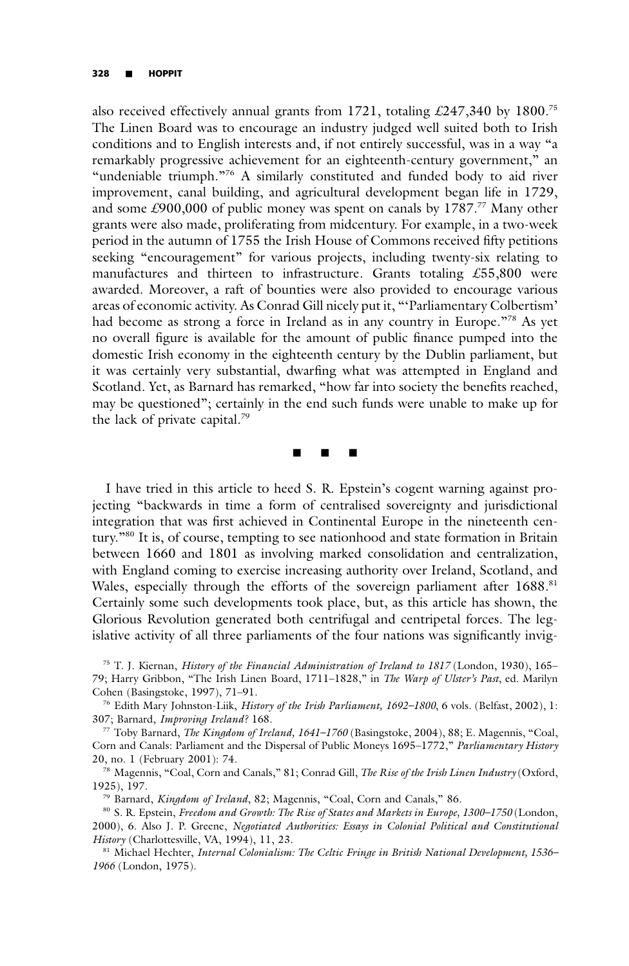also received effectively annual grants from 1721, totaling £247,340 by 1800.<sup>75</sup> The Linen Board was to encourage an industry judged well suited both to Irish conditions and to English interests and, if not entirely successful, was in a way "a remarkably progressive achievement for an eighteenth-century government," an "undeniable triumph."76 A similarly constituted and funded body to aid river improvement, canal building, and agricultural development began life in 1729, and some  $£900,000$  of public money was spent on canals by  $1787.^{77}$  Many other grants were also made, proliferating from midcentury. For example, in a two-week period in the autumn of 1755 the Irish House of Commons received fifty petitions seeking "encouragement" for various projects, including twenty-six relating to manufactures and thirteen to infrastructure. Grants totaling £55,800 were awarded. Moreover, a raft of bounties were also provided to encourage various areas of economic activity. As Conrad Gill nicely put it, "'Parliamentary Colbertism' had become as strong a force in Ireland as in any country in Europe."<sup>78</sup> As yet no overall figure is available for the amount of public finance pumped into the domestic Irish economy in the eighteenth century by the Dublin parliament, but it was certainly very substantial, dwarfing what was attempted in England and Scotland. Yet, as Barnard has remarked, "how far into society the benefits reached, may be questioned"; certainly in the end such funds were unable to make up for the lack of private capital.<sup>79</sup>

> ---

I have tried in this article to heed S. R. Epstein's cogent warning against projecting "backwards in time a form of centralised sovereignty and jurisdictional integration that was first achieved in Continental Europe in the nineteenth century."<sup>80</sup> It is, of course, tempting to see nationhood and state formation in Britain between 1660 and 1801 as involving marked consolidation and centralization, with England coming to exercise increasing authority over Ireland, Scotland, and Wales, especially through the efforts of the sovereign parliament after 1688.<sup>81</sup> Certainly some such developments took place, but, as this article has shown, the Glorious Revolution generated both centrifugal and centripetal forces. The legislative activity of all three parliaments of the four nations was significantly invig-

<sup>77</sup> Toby Barnard, *The Kingdom of Ireland, 1641–1760* (Basingstoke, 2004), 88; E. Magennis, "Coal, Corn and Canals: Parliament and the Dispersal of Public Moneys 1695–1772," *Parliamentary History* 20, no. 1 (February 2001): 74.

<sup>78</sup> Magennis, "Coal, Corn and Canals," 81; Conrad Gill, *The Rise of the Irish Linen Industry* (Oxford, 1925), 197.

<sup>79</sup> Barnard, *Kingdom of Ireland*, 82; Magennis, "Coal, Corn and Canals," 86.

<sup>80</sup> S. R. Epstein, *Freedom and Growth: The Rise of States and Markets in Europe, 1300–1750* (London, 2000), 6. Also J. P. Greene, *Negotiated Authorities: Essays in Colonial Political and Constitutional History* (Charlottesville, VA, 1994), 11, 23.

<sup>81</sup> Michael Hechter, *Internal Colonialism: The Celtic Fringe in British National Development, 1536– 1966* (London, 1975).

<sup>75</sup> T. J. Kiernan, *History of the Financial Administration of Ireland to 1817* (London, 1930), 165– 79; Harry Gribbon, "The Irish Linen Board, 1711–1828," in *The Warp of Ulster's Past*, ed. Marilyn Cohen (Basingstoke, 1997), 71–91.

<sup>76</sup> Edith Mary Johnston-Liik, *History of the Irish Parliament, 1692–1800*, 6 vols. (Belfast, 2002), 1: 307; Barnard, *Improving Ireland?* 168.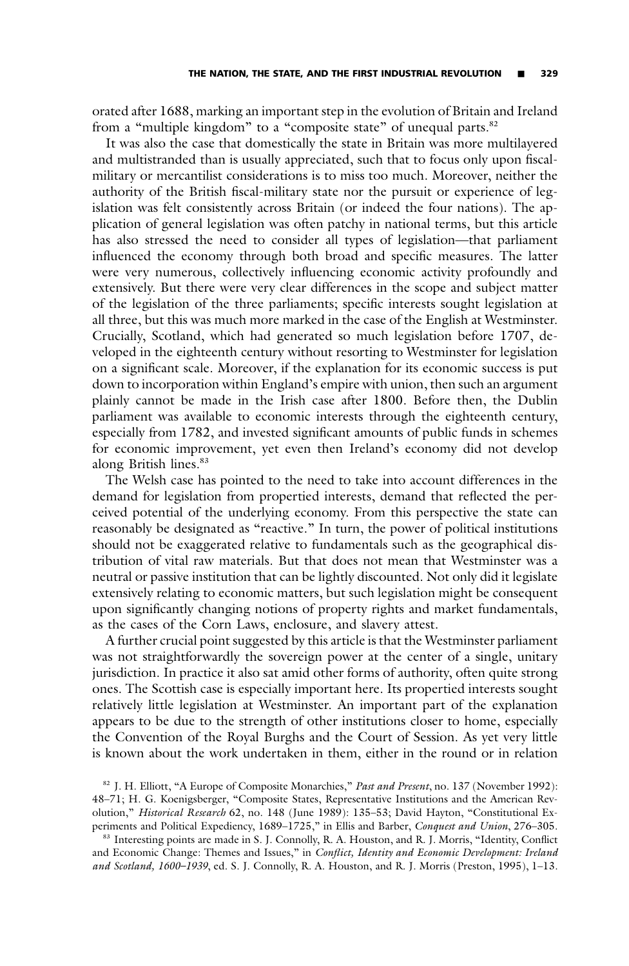orated after 1688, marking an important step in the evolution of Britain and Ireland from a "multiple kingdom" to a "composite state" of unequal parts.<sup>82</sup>

It was also the case that domestically the state in Britain was more multilayered and multistranded than is usually appreciated, such that to focus only upon fiscalmilitary or mercantilist considerations is to miss too much. Moreover, neither the authority of the British fiscal-military state nor the pursuit or experience of legislation was felt consistently across Britain (or indeed the four nations). The application of general legislation was often patchy in national terms, but this article has also stressed the need to consider all types of legislation—that parliament influenced the economy through both broad and specific measures. The latter were very numerous, collectively influencing economic activity profoundly and extensively. But there were very clear differences in the scope and subject matter of the legislation of the three parliaments; specific interests sought legislation at all three, but this was much more marked in the case of the English at Westminster. Crucially, Scotland, which had generated so much legislation before 1707, developed in the eighteenth century without resorting to Westminster for legislation on a significant scale. Moreover, if the explanation for its economic success is put down to incorporation within England's empire with union, then such an argument plainly cannot be made in the Irish case after 1800. Before then, the Dublin parliament was available to economic interests through the eighteenth century, especially from 1782, and invested significant amounts of public funds in schemes for economic improvement, yet even then Ireland's economy did not develop along British lines.<sup>83</sup>

The Welsh case has pointed to the need to take into account differences in the demand for legislation from propertied interests, demand that reflected the perceived potential of the underlying economy. From this perspective the state can reasonably be designated as "reactive." In turn, the power of political institutions should not be exaggerated relative to fundamentals such as the geographical distribution of vital raw materials. But that does not mean that Westminster was a neutral or passive institution that can be lightly discounted. Not only did it legislate extensively relating to economic matters, but such legislation might be consequent upon significantly changing notions of property rights and market fundamentals, as the cases of the Corn Laws, enclosure, and slavery attest.

A further crucial point suggested by this article is that the Westminster parliament was not straightforwardly the sovereign power at the center of a single, unitary jurisdiction. In practice it also sat amid other forms of authority, often quite strong ones. The Scottish case is especially important here. Its propertied interests sought relatively little legislation at Westminster. An important part of the explanation appears to be due to the strength of other institutions closer to home, especially the Convention of the Royal Burghs and the Court of Session. As yet very little is known about the work undertaken in them, either in the round or in relation

<sup>82</sup> J. H. Elliott, "A Europe of Composite Monarchies," *Past and Present*, no. 137 (November 1992): 48–71; H. G. Koenigsberger, "Composite States, Representative Institutions and the American Revolution," *Historical Research* 62, no. 148 (June 1989): 135–53; David Hayton, "Constitutional Experiments and Political Expediency, 1689–1725," in Ellis and Barber, *Conquest and Union*, 276–305.

<sup>83</sup> Interesting points are made in S. J. Connolly, R. A. Houston, and R. J. Morris, "Identity, Conflict and Economic Change: Themes and Issues," in *Conflict, Identity and Economic Development: Ireland and Scotland, 1600–1939*, ed. S. J. Connolly, R. A. Houston, and R. J. Morris (Preston, 1995), 1–13.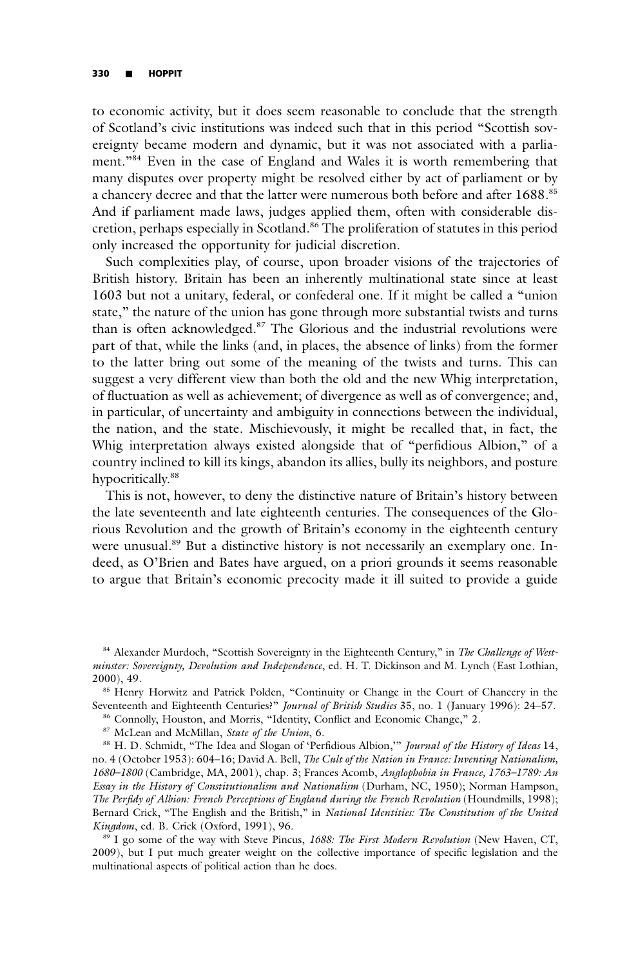### **330 ■ HOPPIT**

to economic activity, but it does seem reasonable to conclude that the strength of Scotland's civic institutions was indeed such that in this period "Scottish sovereignty became modern and dynamic, but it was not associated with a parliament."<sup>84</sup> Even in the case of England and Wales it is worth remembering that many disputes over property might be resolved either by act of parliament or by a chancery decree and that the latter were numerous both before and after 1688.<sup>85</sup> And if parliament made laws, judges applied them, often with considerable discretion, perhaps especially in Scotland.<sup>86</sup> The proliferation of statutes in this period only increased the opportunity for judicial discretion.

Such complexities play, of course, upon broader visions of the trajectories of British history. Britain has been an inherently multinational state since at least 1603 but not a unitary, federal, or confederal one. If it might be called a "union state," the nature of the union has gone through more substantial twists and turns than is often acknowledged. $87$  The Glorious and the industrial revolutions were part of that, while the links (and, in places, the absence of links) from the former to the latter bring out some of the meaning of the twists and turns. This can suggest a very different view than both the old and the new Whig interpretation, of fluctuation as well as achievement; of divergence as well as of convergence; and, in particular, of uncertainty and ambiguity in connections between the individual, the nation, and the state. Mischievously, it might be recalled that, in fact, the Whig interpretation always existed alongside that of "perfidious Albion," of a country inclined to kill its kings, abandon its allies, bully its neighbors, and posture hypocritically.<sup>88</sup>

This is not, however, to deny the distinctive nature of Britain's history between the late seventeenth and late eighteenth centuries. The consequences of the Glorious Revolution and the growth of Britain's economy in the eighteenth century were unusual.<sup>89</sup> But a distinctive history is not necessarily an exemplary one. Indeed, as O'Brien and Bates have argued, on a priori grounds it seems reasonable to argue that Britain's economic precocity made it ill suited to provide a guide

<sup>88</sup> H. D. Schmidt, "The Idea and Slogan of 'Perfidious Albion,'" *Journal of the History of Ideas* 14, no. 4 (October 1953): 604–16; David A. Bell, *The Cult of the Nation in France: Inventing Nationalism, 1680–1800* (Cambridge, MA, 2001), chap. 3; Frances Acomb, *Anglophobia in France, 1763–1789: An Essay in the History of Constitutionalism and Nationalism* (Durham, NC, 1950); Norman Hampson, *The Perfidy of Albion: French Perceptions of England during the French Revolution* (Houndmills, 1998); Bernard Crick, "The English and the British," in *National Identities: The Constitution of the United Kingdom*, ed. B. Crick (Oxford, 1991), 96.

<sup>89</sup> I go some of the way with Steve Pincus, *1688: The First Modern Revolution* (New Haven, CT, 2009), but I put much greater weight on the collective importance of specific legislation and the multinational aspects of political action than he does.

<sup>&</sup>lt;sup>84</sup> Alexander Murdoch, "Scottish Sovereignty in the Eighteenth Century," in *The Challenge of Westminster: Sovereignty, Devolution and Independence*, ed. H. T. Dickinson and M. Lynch (East Lothian, 2000), 49.

<sup>85</sup> Henry Horwitz and Patrick Polden, "Continuity or Change in the Court of Chancery in the Seventeenth and Eighteenth Centuries?" *Journal of British Studies* 35, no. 1 (January 1996): 24–57. <sup>86</sup> Connolly, Houston, and Morris, "Identity, Conflict and Economic Change," 2.

<sup>87</sup> McLean and McMillan, *State of the Union*, 6.